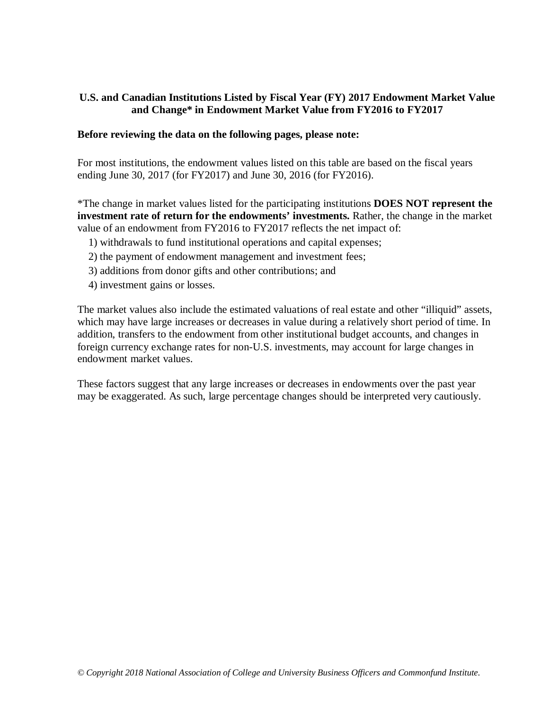# **U.S. and Canadian Institutions Listed by Fiscal Year (FY) 2017 Endowment Market Value and Change\* in Endowment Market Value from FY2016 to FY2017**

#### **Before reviewing the data on the following pages, please note:**

For most institutions, the endowment values listed on this table are based on the fiscal years ending June 30, 2017 (for FY2017) and June 30, 2016 (for FY2016).

\*The change in market values listed for the participating institutions **DOES NOT represent the investment rate of return for the endowments' investments.** Rather, the change in the market value of an endowment from FY2016 to FY2017 reflects the net impact of:

- 1) withdrawals to fund institutional operations and capital expenses;
- 2) the payment of endowment management and investment fees;
- 3) additions from donor gifts and other contributions; and
- 4) investment gains or losses.

The market values also include the estimated valuations of real estate and other "illiquid" assets, which may have large increases or decreases in value during a relatively short period of time. In addition, transfers to the endowment from other institutional budget accounts, and changes in foreign currency exchange rates for non-U.S. investments, may account for large changes in endowment market values.

These factors suggest that any large increases or decreases in endowments over the past year may be exaggerated. As such, large percentage changes should be interpreted very cautiously.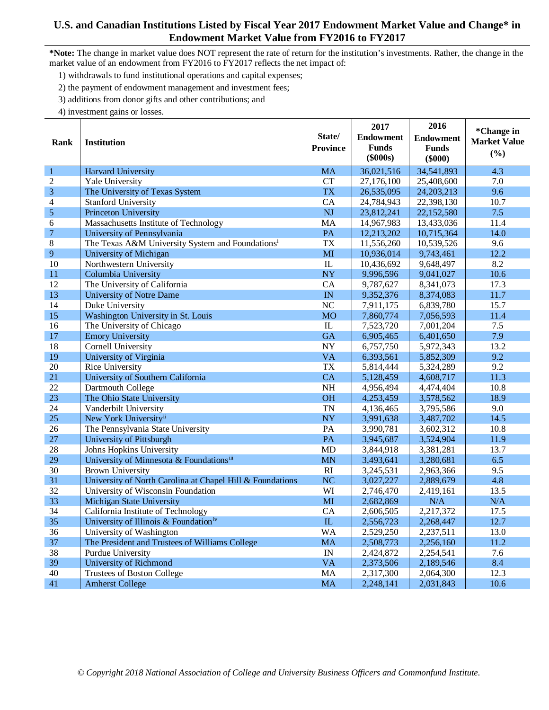## **U.S. and Canadian Institutions Listed by Fiscal Year 2017 Endowment Market Value and Change\* in Endowment Market Value from FY2016 to FY2017**

- 1) withdrawals to fund institutional operations and capital expenses;
- 2) the payment of endowment management and investment fees;
- 3) additions from donor gifts and other contributions; and
- 4) investment gains or losses.

| Rank                    | <b>Institution</b>                                           | State/<br><b>Province</b> | 2017<br><b>Endowment</b><br><b>Funds</b><br>$(\$000s)$ | 2016<br><b>Endowment</b><br><b>Funds</b><br>$(\$000)$ | *Change in<br><b>Market Value</b><br>(%) |
|-------------------------|--------------------------------------------------------------|---------------------------|--------------------------------------------------------|-------------------------------------------------------|------------------------------------------|
| $\mathbf{1}$            | <b>Harvard University</b>                                    | <b>MA</b>                 | 36,021,516                                             | 34,541,893                                            | 4.3                                      |
| $\overline{2}$          | Yale University                                              | <b>CT</b>                 | 27,176,100                                             | 25,408,600                                            | 7.0                                      |
| $\overline{\mathbf{3}}$ | The University of Texas System                               | <b>TX</b>                 | 26,535,095                                             | 24, 203, 213                                          | 9.6                                      |
| $\overline{\mathbf{4}}$ | <b>Stanford University</b>                                   | CA                        | 24,784,943                                             | 22,398,130                                            | 10.7                                     |
| 5                       | Princeton University                                         | <b>NJ</b>                 | 23,812,241                                             | 22,152,580                                            | 7.5                                      |
| 6                       | Massachusetts Institute of Technology                        | <b>MA</b>                 | 14,967,983                                             | 13,433,036                                            | 11.4                                     |
| $\overline{7}$          | University of Pennsylvania                                   | PA                        | 12,213,202                                             | 10,715,364                                            | 14.0                                     |
| $\,$ 8 $\,$             | The Texas A&M University System and Foundations <sup>i</sup> | <b>TX</b>                 | 11,556,260                                             | 10,539,526                                            | 9.6                                      |
| 9                       | University of Michigan                                       | MI                        | 10,936,014                                             | 9,743,461                                             | 12.2                                     |
| 10                      | Northwestern University                                      | IL                        | 10,436,692                                             | 9,648,497                                             | 8.2                                      |
| 11                      | Columbia University                                          | <b>NY</b>                 | 9,996,596                                              | 9,041,027                                             | 10.6                                     |
| 12                      | The University of California                                 | CA                        | 9,787,627                                              | 8,341,073                                             | 17.3                                     |
| 13                      | <b>University of Notre Dame</b>                              | IN                        | 9,352,376                                              | 8,374,083                                             | 11.7                                     |
| 14                      | Duke University                                              | <b>NC</b>                 | 7,911,175                                              | 6,839,780                                             | 15.7                                     |
| 15                      | Washington University in St. Louis                           | <b>MO</b>                 | 7,860,774                                              | 7,056,593                                             | 11.4                                     |
| 16                      | The University of Chicago                                    | IL                        | 7,523,720                                              | 7,001,204                                             | 7.5                                      |
| 17                      | <b>Emory University</b>                                      | <b>GA</b>                 | 6,905,465                                              | 6,401,650                                             | 7.9                                      |
| 18                      | <b>Cornell University</b>                                    | <b>NY</b>                 | 6,757,750                                              | 5,972,343                                             | 13.2                                     |
| 19                      | University of Virginia                                       | <b>VA</b>                 | 6,393,561                                              | 5,852,309                                             | 9.2                                      |
| 20                      | Rice University                                              | <b>TX</b>                 | 5,814,444                                              | 5,324,289                                             | 9.2                                      |
| 21                      | University of Southern California                            | CA                        | 5,128,459                                              | 4,608,717                                             | 11.3                                     |
| 22                      | Dartmouth College                                            | <b>NH</b>                 | 4,956,494                                              | 4,474,404                                             | 10.8                                     |
| 23                      | The Ohio State University                                    | <b>OH</b>                 | 4,253,459                                              | 3,578,562                                             | 18.9                                     |
| 24                      | Vanderbilt University                                        | <b>TN</b>                 | 4,136,465                                              | 3,795,586                                             | 9.0                                      |
| 25                      | New York University <sup>ii</sup>                            | <b>NY</b>                 | 3,991,638                                              | 3,487,702                                             | 14.5                                     |
| 26                      | The Pennsylvania State University                            | PA                        | 3,990,781                                              | 3,602,312                                             | 10.8                                     |
| 27                      | University of Pittsburgh                                     | PA                        | 3,945,687                                              | 3,524,904                                             | 11.9                                     |
| 28                      | Johns Hopkins University                                     | <b>MD</b>                 | 3,844,918                                              | 3,381,281                                             | 13.7                                     |
| 29                      | University of Minnesota & Foundationsiii                     | MN                        | 3,493,641                                              | 3,280,681                                             | 6.5                                      |
| 30                      | <b>Brown University</b>                                      | RI                        | 3,245,531                                              | 2,963,366                                             | 9.5                                      |
| 31                      | University of North Carolina at Chapel Hill & Foundations    | <b>NC</b>                 | 3,027,227                                              | 2,889,679                                             | 4.8                                      |
| 32                      | University of Wisconsin Foundation                           | WI                        | 2,746,470                                              | 2,419,161                                             | 13.5                                     |
| 33                      | <b>Michigan State University</b>                             | MI                        | 2,682,869                                              | N/A                                                   | N/A                                      |
| 34                      | California Institute of Technology                           | CA                        | 2,606,505                                              | 2,217,372                                             | 17.5                                     |
| 35                      | University of Illinois & Foundation <sup>iv</sup>            | IL                        | 2,556,723                                              | 2,268,447                                             | 12.7                                     |
| 36                      | University of Washington                                     | <b>WA</b>                 | 2,529,250                                              | 2,237,511                                             | 13.0                                     |
| 37                      | The President and Trustees of Williams College               | <b>MA</b>                 | 2,508,773                                              | 2,256,160                                             | 11.2                                     |
| 38                      | Purdue University                                            | IN                        | 2,424,872                                              | 2,254,541                                             | 7.6                                      |
| 39                      | <b>University of Richmond</b>                                | <b>VA</b>                 | 2,373,506                                              | 2,189,546                                             | 8.4                                      |
| 40                      | <b>Trustees of Boston College</b>                            | <b>MA</b>                 | 2,317,300                                              | 2,064,300                                             | 12.3                                     |
| 41                      | <b>Amherst College</b>                                       | MA                        | 2,248,141                                              | 2,031,843                                             | 10.6                                     |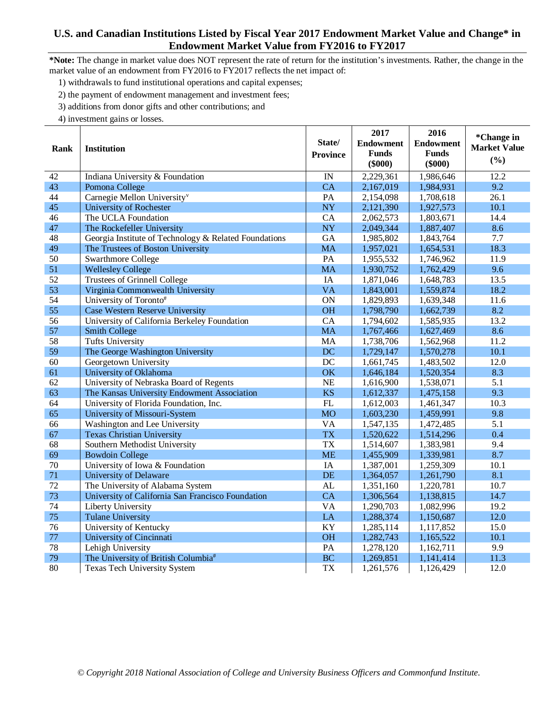#### **U.S. and Canadian Institutions Listed by Fiscal Year 2017 Endowment Market Value and Change\* in Endowment Market Value from FY2016 to FY2017**

**\*Note:** The change in market value does NOT represent the rate of return for the institution's investments. Rather, the change in the market value of an endowment from FY2016 to FY2017 reflects the net impact of:

- 1) withdrawals to fund institutional operations and capital expenses;
- 2) the payment of endowment management and investment fees;
- 3) additions from donor gifts and other contributions; and

|      |                                                       | State/          | 2017<br><b>Endowment</b>  | 2016<br><b>Endowment</b>  | *Change in                 |
|------|-------------------------------------------------------|-----------------|---------------------------|---------------------------|----------------------------|
| Rank | Institution                                           | <b>Province</b> | <b>Funds</b><br>$(\$000)$ | <b>Funds</b><br>$(\$000)$ | <b>Market Value</b><br>(%) |
| 42   | Indiana University & Foundation                       | IN              | 2,229,361                 | 1,986,646                 | 12.2                       |
| 43   | Pomona College                                        | CA              | 2,167,019                 | 1,984,931                 | 9.2                        |
| 44   | Carnegie Mellon University <sup>v</sup>               | PA              | 2,154,098                 | 1,708,618                 | 26.1                       |
| 45   | <b>University of Rochester</b>                        | <b>NY</b>       | 2,121,390                 | 1,927,573                 | 10.1                       |
| 46   | The UCLA Foundation                                   | CA              | 2,062,573                 | 1,803,671                 | 14.4                       |
| 47   | The Rockefeller University                            | <b>NY</b>       | 2,049,344                 | 1,887,407                 | 8.6                        |
| 48   | Georgia Institute of Technology & Related Foundations | GA              | 1,985,802                 | 1,843,764                 | 7.7                        |
| 49   | The Trustees of Boston University                     | <b>MA</b>       | 1,957,021                 | 1,654,531                 | 18.3                       |
| 50   | <b>Swarthmore College</b>                             | PA              | 1,955,532                 | 1,746,962                 | 11.9                       |
| 51   | <b>Wellesley College</b>                              | <b>MA</b>       | 1,930,752                 | 1,762,429                 | 9.6                        |
| 52   | <b>Trustees of Grinnell College</b>                   | <b>IA</b>       | 1,871,046                 | 1,648,783                 | 13.5                       |
| 53   | Virginia Commonwealth University                      | <b>VA</b>       | 1,843,001                 | 1,559,874                 | 18.2                       |
| 54   | University of Toronto#                                | ON              | 1,829,893                 | 1,639,348                 | 11.6                       |
| 55   | Case Western Reserve University                       | <b>OH</b>       | 1,798,790                 | 1,662,739                 | 8.2                        |
| 56   | University of California Berkeley Foundation          | CA              | 1,794,602                 | 1,585,935                 | 13.2                       |
| 57   | <b>Smith College</b>                                  | <b>MA</b>       | 1,767,466                 | 1,627,469                 | 8.6                        |
| 58   | <b>Tufts University</b>                               | MA              | 1,738,706                 | 1,562,968                 | 11.2                       |
| 59   | The George Washington University                      | DC              | 1,729,147                 | 1,570,278                 | 10.1                       |
| 60   | Georgetown University                                 | DC              | 1,661,745                 | 1,483,502                 | 12.0                       |
| 61   | University of Oklahoma                                | OK              | 1,646,184                 | 1,520,354                 | 8.3                        |
| 62   | University of Nebraska Board of Regents               | <b>NE</b>       | 1,616,900                 | 1,538,071                 | 5.1                        |
| 63   | The Kansas University Endowment Association           | <b>KS</b>       | 1,612,337                 | 1,475,158                 | 9.3                        |
| 64   | University of Florida Foundation, Inc.                | FL              | 1,612,003                 | 1,461,347                 | 10.3                       |
| 65   | University of Missouri-System                         | <b>MO</b>       | 1,603,230                 | 1,459,991                 | 9.8                        |
| 66   | Washington and Lee University                         | $\overline{VA}$ | 1,547,135                 | 1,472,485                 | 5.1                        |
| 67   | <b>Texas Christian University</b>                     | <b>TX</b>       | 1,520,622                 | 1,514,296                 | 0.4                        |
| 68   | Southern Methodist University                         | <b>TX</b>       | 1,514,607                 | 1,383,981                 | 9.4                        |
| 69   | <b>Bowdoin College</b>                                | <b>ME</b>       | 1,455,909                 | 1,339,981                 | 8.7                        |
| 70   | University of Iowa & Foundation                       | IA              | 1,387,001                 | 1,259,309                 | 10.1                       |
| 71   | <b>University of Delaware</b>                         | DE              | 1,364,057                 | 1,261,790                 | 8.1                        |
| 72   | The University of Alabama System                      | AL              | 1,351,160                 | 1,220,781                 | 10.7                       |
| 73   | University of California San Francisco Foundation     | <b>CA</b>       | 1,306,564                 | 1,138,815                 | 14.7                       |
| 74   | Liberty University                                    | <b>VA</b>       | 1,290,703                 | 1,082,996                 | 19.2                       |
| 75   | <b>Tulane University</b>                              | LA              | 1,288,374                 | 1,150,687                 | 12.0                       |
| 76   | University of Kentucky                                | KY              | 1,285,114                 | 1,117,852                 | 15.0                       |
| 77   | University of Cincinnati                              | <b>OH</b>       | 1,282,743                 | 1,165,522                 | 10.1                       |
| 78   | Lehigh University                                     | PA              | 1,278,120                 | 1,162,711                 | 9.9                        |
| 79   | The University of British Columbia#                   | <b>BC</b>       | 1,269,851                 | 1,141,414                 | 11.3                       |
| 80   | Texas Tech University System                          | <b>TX</b>       | 1,261,576                 | 1,126,429                 | 12.0                       |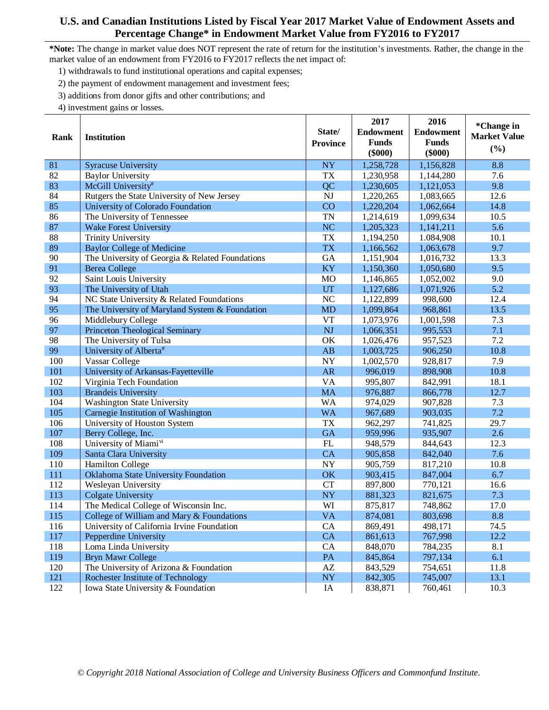- 1) withdrawals to fund institutional operations and capital expenses;
- 2) the payment of endowment management and investment fees;
- 3) additions from donor gifts and other contributions; and
- 4) investment gains or losses.

|      |                                                 | State/                     | 2017<br><b>Endowment</b>  | 2016<br><b>Endowment</b>  | *Change in                 |
|------|-------------------------------------------------|----------------------------|---------------------------|---------------------------|----------------------------|
| Rank | <b>Institution</b>                              | <b>Province</b>            | <b>Funds</b><br>$(\$000)$ | <b>Funds</b><br>$(\$000)$ | <b>Market Value</b><br>(%) |
| 81   | <b>Syracuse University</b>                      | <b>NY</b>                  | 1,258,728                 | 1,156,828                 | 8.8                        |
| 82   | <b>Baylor University</b>                        | <b>TX</b>                  | 1,230,958                 | 1,144,280                 | 7.6                        |
| 83   | McGill University#                              | QC                         | 1,230,605                 | 1,121,053                 | 9.8                        |
| 84   | Rutgers the State University of New Jersey      | <b>NJ</b>                  | 1,220,265                 | 1,083,665                 | 12.6                       |
| 85   | University of Colorado Foundation               | CO                         | 1,220,204                 | 1,062,664                 | 14.8                       |
| 86   | The University of Tennessee                     | <b>TN</b>                  | 1,214,619                 | 1,099,634                 | 10.5                       |
| 87   | <b>Wake Forest University</b>                   | <b>NC</b>                  | 1,205,323                 | 1,141,211                 | 5.6                        |
| 88   | <b>Trinity University</b>                       | <b>TX</b>                  | 1,194,250                 | 1.084,908                 | 10.1                       |
| 89   | <b>Baylor College of Medicine</b>               | <b>TX</b>                  | 1,166,562                 | 1,063,678                 | 9.7                        |
| 90   | The University of Georgia & Related Foundations | <b>GA</b>                  | 1,151,904                 | 1,016,732                 | 13.3                       |
| 91   | <b>Berea College</b>                            | KY                         | 1,150,360                 | 1,050,680                 | 9.5                        |
| 92   | Saint Louis University                          | MO                         | 1,146,865                 | 1,052,002                 | 9.0                        |
| 93   | The University of Utah                          | UT                         | 1,127,686                 | 1,071,926                 | 5.2                        |
| 94   | NC State University & Related Foundations       | NC                         | 1,122,899                 | 998,600                   | 12.4                       |
| 95   | The University of Maryland System & Foundation  | <b>MD</b>                  | 1,099,864                 | 968,861                   | 13.5                       |
| 96   | Middlebury College                              | <b>VT</b>                  | 1,073,976                 | 1,001,598                 | 7.3                        |
| 97   | <b>Princeton Theological Seminary</b>           | NJ                         | 1,066,351                 | 995,553                   | 7.1                        |
| 98   | The University of Tulsa                         | OK                         | 1,026,476                 | 957,523                   | 7.2                        |
| 99   | University of Alberta <sup>#</sup>              | AB                         | 1,003,725                 | 906,250                   | 10.8                       |
| 100  | Vassar College                                  | <b>NY</b>                  | 1,002,570                 | 928,817                   | 7.9                        |
| 101  | University of Arkansas-Fayetteville             | AR                         | 996,019                   | 898,908                   | 10.8                       |
| 102  | Virginia Tech Foundation                        | <b>VA</b>                  | 995,807                   | 842,991                   | 18.1                       |
| 103  | <b>Brandeis University</b>                      | <b>MA</b>                  | 976,887                   | 866,778                   | 12.7                       |
| 104  | <b>Washington State University</b>              | <b>WA</b>                  | 974,029                   | 907,828                   | 7.3                        |
| 105  | Carnegie Institution of Washington              | <b>WA</b>                  | 967,689                   | 903,035                   | 7.2                        |
| 106  | University of Houston System                    | <b>TX</b>                  | 962,297                   | 741,825                   | 29.7                       |
| 107  | Berry College, Inc.                             | <b>GA</b>                  | 959,996                   | 935,907                   | 2.6                        |
| 108  | University of Miami <sup>vi</sup>               | ${\rm FL}$                 | 948,579                   | 844,643                   | 12.3                       |
| 109  | Santa Clara University                          | CA                         | 905,858                   | 842,040                   | 7.6                        |
| 110  | <b>Hamilton College</b>                         | <b>NY</b>                  | 905,759                   | 817,210                   | 10.8                       |
| 111  | Oklahoma State University Foundation            | OK                         | 903,415                   | 847,004                   | 6.7                        |
| 112  | Wesleyan University                             | CT                         | 897,800                   | 770,121                   | 16.6                       |
| 113  | <b>Colgate University</b>                       | <b>NY</b>                  | 881,323                   | 821,675                   | 7.3                        |
| 114  | The Medical College of Wisconsin Inc.           | WI                         | 875,817                   | 748,862                   | 17.0                       |
| 115  | College of William and Mary & Foundations       | <b>VA</b>                  | 874,081                   | 803,698                   | 8.8                        |
| 116  | University of California Irvine Foundation      | CA                         | 869,491                   | 498,171                   | 74.5                       |
| 117  | Pepperdine University                           | CA                         | 861,613                   | 767,998                   | 12.2                       |
| 118  | Loma Linda University                           | CA                         | 848,070                   | 784,235                   | 8.1                        |
| 119  | <b>Bryn Mawr College</b>                        | PA                         | 845,864                   | 797,134                   | 6.1                        |
| 120  | The University of Arizona & Foundation          | $\mathbf{A}\mathbf{Z}$     | 843,529                   | 754,651                   | 11.8                       |
| 121  | Rochester Institute of Technology               | $\boldsymbol{\mathrm{NY}}$ | 842,305                   | 745,007                   | 13.1                       |
| 122  | Iowa State University & Foundation              | IA                         | 838,871                   | 760,461                   | 10.3                       |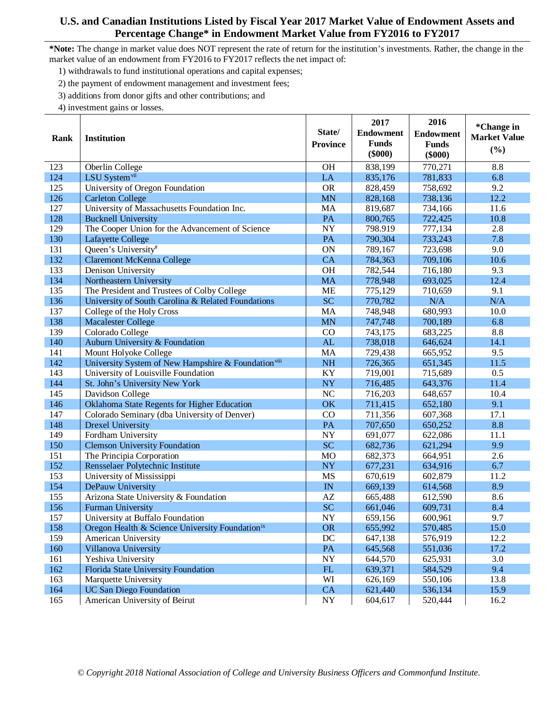- 1) withdrawals to fund institutional operations and capital expenses;
- 2) the payment of endowment management and investment fees;
- 3) additions from donor gifts and other contributions; and
- 4) investment gains or losses.

|      |                                                                 |                        | 2017             | 2016             | *Change in          |
|------|-----------------------------------------------------------------|------------------------|------------------|------------------|---------------------|
| Rank | <b>Institution</b>                                              | State/                 | <b>Endowment</b> | <b>Endowment</b> | <b>Market Value</b> |
|      |                                                                 | <b>Province</b>        | <b>Funds</b>     | <b>Funds</b>     |                     |
|      |                                                                 |                        | $(\$000)$        | $(\$000)$        | (%)                 |
| 123  | Oberlin College                                                 | <b>OH</b>              | 838,199          | 770,271          | 8.8                 |
| 124  | LSU System <sup>vii</sup>                                       | LA                     | 835,176          | 781,833          | 6.8                 |
| 125  | University of Oregon Foundation                                 | <b>OR</b>              | 828,459          | 758,692          | 9.2                 |
| 126  | <b>Carleton College</b>                                         | <b>MN</b>              | 828,168          | 738,136          | 12.2                |
| 127  | University of Massachusetts Foundation Inc.                     | MA                     | 819,687          | 734,166          | 11.6                |
| 128  | <b>Bucknell University</b>                                      | PA                     | 800,765          | 722,425          | 10.8                |
| 129  | The Cooper Union for the Advancement of Science                 | <b>NY</b>              | 798.919          | 777,134          | 2.8                 |
| 130  | Lafayette College                                               | PA                     | 790,304          | 733,243          | 7.8                 |
| 131  | Queen's University#                                             | ON                     | 789,167          | 723,698          | 9.0                 |
| 132  | <b>Claremont McKenna College</b>                                | CA                     | 784,363          | 709,106          | 10.6                |
| 133  | Denison University                                              | OH                     | 782,544          | 716,180          | 9.3                 |
| 134  | Northeastern University                                         | <b>MA</b>              | 778,948          | 693,025          | 12.4                |
| 135  | The President and Trustees of Colby College                     | <b>ME</b>              | 775,129          | 710,659          | 9.1                 |
| 136  | University of South Carolina & Related Foundations              | <b>SC</b>              | 770,782          | N/A              | N/A                 |
| 137  | College of the Holy Cross                                       | MA                     | 748,948          | 680,993          | 10.0                |
| 138  | <b>Macalester College</b>                                       | <b>MN</b>              | 747,748          | 700,189          | 6.8                 |
| 139  | Colorado College                                                | CO                     | 743,175          | 683,225          | 8.8                 |
| 140  | Auburn University & Foundation                                  | AL                     | 738,018          | 646,624          | 14.1                |
| 141  | Mount Holyoke College                                           | MA                     | 729,438          | 665,952          | 9.5                 |
| 142  | University System of New Hampshire & Foundation <sup>viii</sup> | <b>NH</b>              | 726,365          | 651,345          | 11.5                |
| 143  | University of Louisville Foundation                             | KY                     | 719,001          | 715,689          | 0.5                 |
| 144  | St. John's University New York                                  | <b>NY</b>              | 716,485          | 643,376          | 11.4                |
| 145  | Davidson College                                                | NC                     | 716,203          | 648,657          | 10.4                |
| 146  | Oklahoma State Regents for Higher Education                     | OK                     | 711,415          | 652,180          | 9.1                 |
| 147  | Colorado Seminary (dba University of Denver)                    | CO                     | 711,356          | 607,368          | 17.1                |
| 148  | <b>Drexel University</b>                                        | PA                     | 707,650          | 650,252          | 8.8                 |
| 149  | Fordham University                                              | <b>NY</b>              | 691,077          | 622,086          | 11.1                |
| 150  | <b>Clemson University Foundation</b>                            | <b>SC</b>              | 682,736          | 621,294          | 9.9                 |
| 151  | The Principia Corporation                                       | <b>MO</b>              | 682,373          | 664,951          | 2.6                 |
| 152  | Rensselaer Polytechnic Institute                                | <b>NY</b>              | 677,231          | 634,916          | 6.7                 |
| 153  | University of Mississippi                                       | MS                     | 670,619          | 602,879          | 11.2                |
| 154  | DePauw University                                               | IN                     | 669,139          | 614,568          | 8.9                 |
| 155  | Arizona State University & Foundation                           | $\mathbf{A}\mathbf{Z}$ | 665,488          | 612,590          | 8.6                 |
| 156  | <b>Furman University</b>                                        | <b>SC</b>              | 661,046          | 609,731          | 8.4                 |
| 157  | University at Buffalo Foundation                                | <b>NY</b>              | 659,156          | 600,961          | 9.7                 |
| 158  | Oregon Health & Science University Foundationix                 | <b>OR</b>              | 655,992          | 570,485          | 15.0                |
| 159  | American University                                             | DC                     | 647,138          | 576,919          | 12.2                |
| 160  | Villanova University                                            | PA                     | 645,568          | 551,036          | 17.2                |
| 161  | Yeshiva University                                              | ${\rm NY}$             | 644,570          | 625,931          | 3.0                 |
| 162  | Florida State University Foundation                             | ${\rm FL}$             | 639,371          | 584,529          | 9.4                 |
| 163  | Marquette University                                            | WI                     | 626,169          | 550,106          | 13.8                |
| 164  | <b>UC San Diego Foundation</b>                                  | CA                     | 621,440          | 536,134          | 15.9                |
| 165  | American University of Beirut                                   | <b>NY</b>              | 604,617          | 520,444          | 16.2                |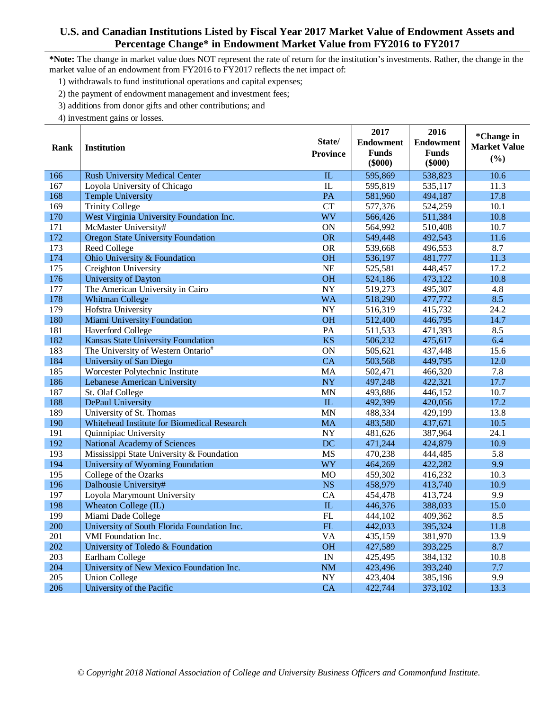**\*Note:** The change in market value does NOT represent the rate of return for the institution's investments. Rather, the change in the market value of an endowment from FY2016 to FY2017 reflects the net impact of:

- 1) withdrawals to fund institutional operations and capital expenses;
- 2) the payment of endowment management and investment fees;
- 3) additions from donor gifts and other contributions; and

|      |                                             |                 | 2017             | 2016             | *Change in          |
|------|---------------------------------------------|-----------------|------------------|------------------|---------------------|
| Rank | <b>Institution</b>                          | State/          | <b>Endowment</b> | <b>Endowment</b> | <b>Market Value</b> |
|      |                                             | <b>Province</b> | <b>Funds</b>     | <b>Funds</b>     | (%)                 |
|      |                                             |                 | $(\$000)$        | $(\$000)$        |                     |
| 166  | <b>Rush University Medical Center</b>       | IL              | 595,869          | 538,823          | 10.6                |
| 167  | Loyola University of Chicago                | IL              | 595,819          | 535,117          | 11.3                |
| 168  | <b>Temple University</b>                    | PA              | 581,960          | 494,187          | 17.8                |
| 169  | <b>Trinity College</b>                      | <b>CT</b>       | 577,376          | 524,259          | 10.1                |
| 170  | West Virginia University Foundation Inc.    | <b>WV</b>       | 566,426          | 511,384          | 10.8                |
| 171  | McMaster University#                        | ON              | 564,992          | 510,408          | 10.7                |
| 172  | <b>Oregon State University Foundation</b>   | <b>OR</b>       | 549,448          | 492,543          | 11.6                |
| 173  | Reed College                                | <b>OR</b>       | 539,668          | 496,553          | 8.7                 |
| 174  | Ohio University & Foundation                | <b>OH</b>       | 536,197          | 481,777          | 11.3                |
| 175  | Creighton University                        | <b>NE</b>       | 525,581          | 448,457          | 17.2                |
| 176  | University of Dayton                        | <b>OH</b>       | 524,186          | 473,122          | 10.8                |
| 177  | The American University in Cairo            | <b>NY</b>       | 519,273          | 495,307          | 4.8                 |
| 178  | <b>Whitman College</b>                      | <b>WA</b>       | 518,290          | 477,772          | 8.5                 |
| 179  | Hofstra University                          | <b>NY</b>       | 516,319          | 415,732          | 24.2                |
| 180  | Miami University Foundation                 | <b>OH</b>       | 512,400          | 446,795          | 14.7                |
| 181  | <b>Haverford College</b>                    | $\overline{PA}$ | 511,533          | 471,393          | 8.5                 |
| 182  | Kansas State University Foundation          | <b>KS</b>       | 506,232          | 475,617          | 6.4                 |
| 183  | The University of Western Ontario#          | ON              | 505,621          | 437,448          | 15.6                |
| 184  | University of San Diego                     | <b>CA</b>       | 503,568          | 449,795          | 12.0                |
| 185  | Worcester Polytechnic Institute             | MA              | 502,471          | 466,320          | 7.8                 |
| 186  | Lebanese American University                | <b>NY</b>       | 497,248          | 422,321          | 17.7                |
| 187  | St. Olaf College                            | <b>MN</b>       | 493,886          | 446,152          | 10.7                |
| 188  | DePaul University                           | ${\rm IL}$      | 492,399          | 420,056          | 17.2                |
| 189  | University of St. Thomas                    | <b>MN</b>       | 488,334          | 429,199          | 13.8                |
| 190  | Whitehead Institute for Biomedical Research | <b>MA</b>       | 483,580          | 437,671          | 10.5                |
| 191  | Quinnipiac University                       | <b>NY</b>       | 481,626          | 387,964          | 24.1                |
| 192  | <b>National Academy of Sciences</b>         | <b>DC</b>       | 471,244          | 424,879          | 10.9                |
| 193  | Mississippi State University & Foundation   | <b>MS</b>       | 470,238          | 444,485          | 5.8                 |
| 194  | University of Wyoming Foundation            | <b>WY</b>       | 464,269          | 422,282          | 9.9                 |
| 195  | College of the Ozarks                       | <b>MO</b>       | 459,302          | 416,232          | 10.3                |
| 196  | Dalhousie University#                       | <b>NS</b>       | 458,979          | 413,740          | 10.9                |
| 197  | Loyola Marymount University                 | CA              | 454,478          | 413,724          | 9.9                 |
| 198  | Wheaton College (IL)                        | IL              | 446,376          | 388,033          | 15.0                |
| 199  | Miami Dade College                          | $\overline{FL}$ | 444,102          | 409,362          | 8.5                 |
| 200  | University of South Florida Foundation Inc. | ${\rm FL}$      | 442,033          | 395,324          | 11.8                |
| 201  | <b>VMI</b> Foundation Inc.                  | $\overline{VA}$ | 435,159          | 381,970          | 13.9                |
| 202  | University of Toledo & Foundation           | <b>OH</b>       | 427,589          | 393,225          | 8.7                 |
| 203  | Earlham College                             | IN              | 425,495          | 384,132          | 10.8                |
| 204  | University of New Mexico Foundation Inc.    | <b>NM</b>       | 423,496          | 393,240          | 7.7                 |
| 205  | <b>Union College</b>                        | <b>NY</b>       | 423,404          | 385,196          | 9.9                 |
| 206  | University of the Pacific                   | CA              | 422,744          | 373,102          | 13.3                |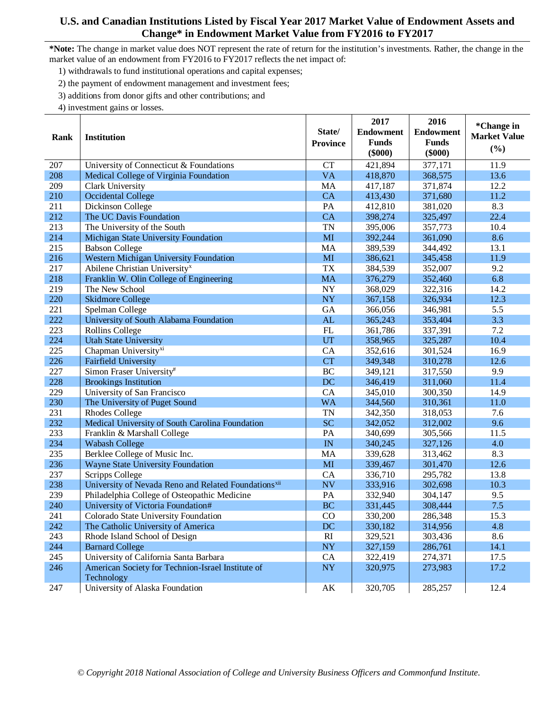- 1) withdrawals to fund institutional operations and capital expenses;
- 2) the payment of endowment management and investment fees;
- 3) additions from donor gifts and other contributions; and
- 4) investment gains or losses.

|      |                                                                  |                        | 2017             | 2016             | *Change in          |
|------|------------------------------------------------------------------|------------------------|------------------|------------------|---------------------|
| Rank | <b>Institution</b>                                               | State/                 | <b>Endowment</b> | <b>Endowment</b> | <b>Market Value</b> |
|      |                                                                  | <b>Province</b>        | <b>Funds</b>     | <b>Funds</b>     |                     |
|      |                                                                  |                        | $(\$000)$        | $(\$000)$        | (%)                 |
| 207  | University of Connecticut & Foundations                          | <b>CT</b>              | 421,894          | 377,171          | 11.9                |
| 208  | Medical College of Virginia Foundation                           | <b>VA</b>              | 418,870          | 368,575          | 13.6                |
| 209  | Clark University                                                 | MA                     | 417,187          | 371,874          | 12.2                |
| 210  | <b>Occidental College</b>                                        | <b>CA</b>              | 413,430          | 371,680          | 11.2                |
| 211  | Dickinson College                                                | PA                     | 412,810          | 381,020          | 8.3                 |
| 212  | The UC Davis Foundation                                          | <b>CA</b>              | 398,274          | 325,497          | 22.4                |
| 213  | The University of the South                                      | <b>TN</b>              | 395,006          | 357,773          | 10.4                |
| 214  | Michigan State University Foundation                             | MI                     | 392,244          | 361,090          | 8.6                 |
| 215  | <b>Babson College</b>                                            | MA                     | 389,539          | 344,492          | 13.1                |
| 216  | Western Michigan University Foundation                           | MI                     | 386,621          | 345,458          | 11.9                |
| 217  | Abilene Christian University <sup>x</sup>                        | <b>TX</b>              | 384,539          | 352,007          | 9.2                 |
| 218  | Franklin W. Olin College of Engineering                          | <b>MA</b>              | 376,279          | 352,460          | 6.8                 |
| 219  | The New School                                                   | <b>NY</b>              | 368,029          | 322,316          | 14.2                |
| 220  | <b>Skidmore College</b>                                          | <b>NY</b>              | 367,158          | 326,934          | 12.3                |
| 221  | Spelman College                                                  | GA                     | 366,056          | 346,981          | 5.5                 |
| 222  | University of South Alabama Foundation                           | AL                     | 365,243          | 353,404          | 3.3                 |
| 223  | <b>Rollins College</b>                                           | FL                     | 361,786          | 337,391          | 7.2                 |
| 224  | <b>Utah State University</b>                                     | UT                     | 358,965          | 325,287          | 10.4                |
| 225  | Chapman University <sup>xi</sup>                                 | CA                     | 352,616          | 301,524          | 16.9                |
| 226  | <b>Fairfield University</b>                                      | <b>CT</b>              | 349,348          | 310,278          | 12.6                |
| 227  | Simon Fraser University#                                         | <b>BC</b>              | 349,121          | 317,550          | 9.9                 |
| 228  | <b>Brookings Institution</b>                                     | DC                     | 346,419          | 311,060          | 11.4                |
| 229  | University of San Francisco                                      | CA                     | 345,010          | 300,350          | 14.9                |
| 230  | The University of Puget Sound                                    | <b>WA</b>              | 344,560          | 310,361          | 11.0                |
| 231  | <b>Rhodes College</b>                                            | <b>TN</b>              | 342,350          | 318,053          | 7.6                 |
| 232  | Medical University of South Carolina Foundation                  | <b>SC</b>              | 342,052          | 312,002          | 9.6                 |
| 233  | Franklin & Marshall College                                      | PA                     | 340,699          | 305,566          | 11.5                |
| 234  | <b>Wabash College</b>                                            | IN                     | 340,245          | 327,126          | 4.0                 |
| 235  | Berklee College of Music Inc.                                    | MA                     | 339,628          | 313,462          | 8.3                 |
| 236  | Wayne State University Foundation                                | MI                     | 339,467          | 301,470          | 12.6                |
| 237  | Scripps College                                                  | CA                     | 336,710          | 295,782          | 13.8                |
| 238  | University of Nevada Reno and Related Foundations <sup>xii</sup> | <b>NV</b>              | 333,916          | 302,698          | 10.3                |
| 239  | Philadelphia College of Osteopathic Medicine                     | PA                     | 332,940          | 304,147          | 9.5                 |
| 240  | University of Victoria Foundation#                               | <b>BC</b>              | 331,445          | 308,444          | 7.5                 |
| 241  | Colorado State University Foundation                             | CO                     | 330,200          | 286,348          | 15.3                |
| 242  | The Catholic University of America                               | DC                     | 330,182          | 314,956          | 4.8                 |
| 243  | Rhode Island School of Design                                    | RI                     | 329,521          | 303,436          | 8.6                 |
| 244  | <b>Barnard College</b>                                           | $\bold{NY}$            | 327,159          | 286,761          | 14.1                |
| 245  | University of California Santa Barbara                           | CA                     | 322,419          | 274,371          | 17.5                |
| 246  | American Society for Technion-Israel Institute of                | $\bold{NY}$            | 320,975          | 273,983          | 17.2                |
|      | Technology                                                       |                        |                  |                  |                     |
| 247  | University of Alaska Foundation                                  | $\mathbf{A}\mathbf{K}$ | 320,705          | 285,257          | 12.4                |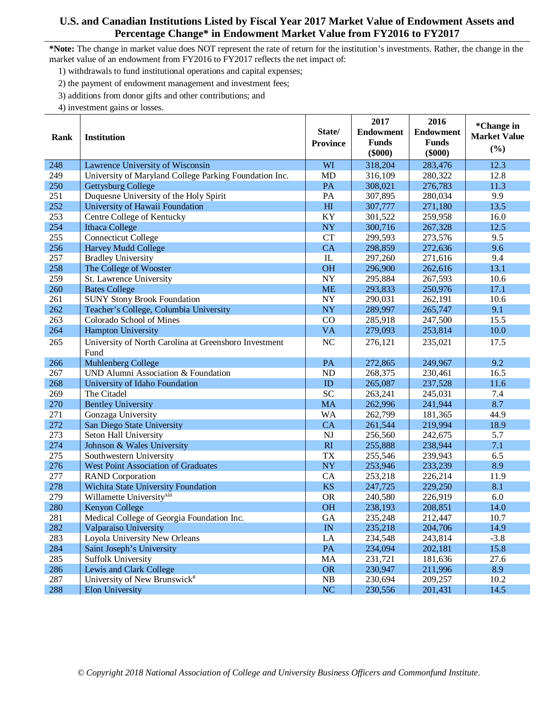- 1) withdrawals to fund institutional operations and capital expenses;
- 2) the payment of endowment management and investment fees;
- 3) additions from donor gifts and other contributions; and
- 4) investment gains or losses.

|      |                                                        |                        | 2017             | 2016             | *Change in          |
|------|--------------------------------------------------------|------------------------|------------------|------------------|---------------------|
| Rank | <b>Institution</b>                                     | State/                 | <b>Endowment</b> | <b>Endowment</b> | <b>Market Value</b> |
|      |                                                        | <b>Province</b>        | <b>Funds</b>     | <b>Funds</b>     |                     |
|      |                                                        |                        | $(\$000)$        | $(\$000)$        | (%)                 |
| 248  | Lawrence University of Wisconsin                       | WI                     | 318,204          | 283,476          | 12.3                |
| 249  | University of Maryland College Parking Foundation Inc. | <b>MD</b>              | 316,109          | 280,322          | 12.8                |
| 250  | Gettysburg College                                     | PA                     | 308,021          | 276,783          | 11.3                |
| 251  | Duquesne University of the Holy Spirit                 | PA                     | 307,895          | 280,034          | 9.9                 |
| 252  | University of Hawaii Foundation                        | H1                     | 307,777          | 271,180          | 13.5                |
| 253  | Centre College of Kentucky                             | KY                     | 301,522          | 259,958          | 16.0                |
| 254  | <b>Ithaca College</b>                                  | NY                     | 300,716          | 267,328          | 12.5                |
| 255  | <b>Connecticut College</b>                             | <b>CT</b>              | 299,593          | 273,576          | 9.5                 |
| 256  | <b>Harvey Mudd College</b>                             | CA                     | 298,859          | 272,636          | 9.6                 |
| 257  | <b>Bradley University</b>                              | $\rm IL$               | 297,260          | 271,616          | 9.4                 |
| 258  | The College of Wooster                                 | <b>OH</b>              | 296,900          | 262,616          | 13.1                |
| 259  | St. Lawrence University                                | NY                     | 295,884          | 267,593          | 10.6                |
| 260  | <b>Bates College</b>                                   | <b>ME</b>              | 293,833          | 250,976          | 17.1                |
| 261  | <b>SUNY Stony Brook Foundation</b>                     | NY                     | 290,031          | 262,191          | 10.6                |
| 262  | Teacher's College, Columbia University                 | <b>NY</b>              | 289,997          | 265,747          | 9.1                 |
| 263  | Colorado School of Mines                               | CO                     | 285,918          | 247,500          | 15.5                |
| 264  | Hampton University                                     | <b>VA</b>              | 279,093          | 253,814          | 10.0                |
| 265  | University of North Carolina at Greensboro Investment  | NC                     | 276,121          | 235,021          | 17.5                |
|      | Fund                                                   |                        |                  |                  |                     |
| 266  | Muhlenberg College                                     | PA                     | 272,865          | 249,967          | 9.2                 |
| 267  | UND Alumni Association & Foundation                    | N <sub>D</sub>         | 268,375          | 230,461          | 16.5                |
| 268  | University of Idaho Foundation                         | ID                     | 265,087          | 237,528          | 11.6                |
| 269  | The Citadel                                            | <b>SC</b>              | 263,241          | 245,031          | 7.4                 |
| 270  | <b>Bentley University</b>                              | <b>MA</b>              | 262,996          | 241,944          | 8.7                 |
| 271  | Gonzaga University                                     | <b>WA</b>              | 262,799          | 181,365          | 44.9                |
| 272  | San Diego State University                             | CA                     | 261,544          | 219,994          | 18.9                |
| 273  | Seton Hall University                                  | $\mathbf{N}\mathbf{J}$ | 256,560          | 242,675          | 5.7                 |
| 274  | Johnson & Wales University                             | RI                     | 255,888          | 238,944          | 7.1                 |
| 275  | Southwestern University                                | <b>TX</b>              | 255,546          | 239,943          | 6.5                 |
| 276  | <b>West Point Association of Graduates</b>             | <b>NY</b>              | 253,946          | 233,239          | 8.9                 |
| 277  | <b>RAND</b> Corporation                                | CA                     | 253,218          | 226,214          | 11.9                |
| 278  | Wichita State University Foundation                    | <b>KS</b>              | 247,725          | 229,250          | 8.1                 |
| 279  | Willamette University <sup>xiii</sup>                  | <b>OR</b>              | 240,580          | 226,919          | 6.0                 |
| 280  | Kenyon College                                         | <b>OH</b>              | 238,193          | 208,851          | 14.0                |
| 281  | Medical College of Georgia Foundation Inc.             | <b>GA</b>              | 235,248          | 212,447          | 10.7                |
| 282  | Valparaiso University                                  | IN                     | 235,218          | 204,706          | 14.9                |
| 283  | Loyola University New Orleans                          | LA                     | 234,548          | 243,814          | $-3.8$              |
| 284  | Saint Joseph's University                              | PA                     | 234,094          | 202,181          | 15.8                |
| 285  | <b>Suffolk University</b>                              | MA                     | 231,721          | 181,636          | 27.6                |
| 286  | Lewis and Clark College                                | <b>OR</b>              | 230,947          | 211,996          | 8.9                 |
| 287  | University of New Brunswick#                           | NB                     | 230,694          | 209,257          | 10.2                |
| 288  | <b>Elon University</b>                                 | NC                     | 230,556          | 201,431          | 14.5                |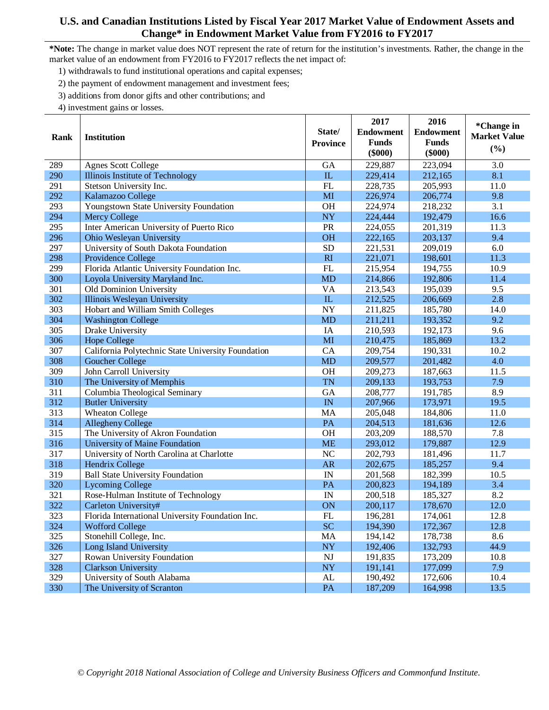- 1) withdrawals to fund institutional operations and capital expenses;
- 2) the payment of endowment management and investment fees;
- 3) additions from donor gifts and other contributions; and
- 4) investment gains or losses.

|      |                                                    |                 | 2017             | 2016             | *Change in          |
|------|----------------------------------------------------|-----------------|------------------|------------------|---------------------|
| Rank | <b>Institution</b>                                 | State/          | <b>Endowment</b> | <b>Endowment</b> | <b>Market Value</b> |
|      |                                                    | <b>Province</b> | <b>Funds</b>     | <b>Funds</b>     | (%)                 |
|      |                                                    |                 | $(\$000)$        | $(\$000)$        |                     |
| 289  | <b>Agnes Scott College</b>                         | <b>GA</b>       | 229,887          | 223,094          | 3.0                 |
| 290  | Illinois Institute of Technology                   | ${\rm IL}$      | 229,414          | 212,165          | 8.1                 |
| 291  | Stetson University Inc.                            | FL              | 228,735          | 205,993          | 11.0                |
| 292  | Kalamazoo College                                  | MI              | 226,974          | 206,774          | 9.8                 |
| 293  | Youngstown State University Foundation             | <b>OH</b>       | 224,974          | 218,232          | 3.1                 |
| 294  | <b>Mercy College</b>                               | <b>NY</b>       | 224,444          | 192,479          | 16.6                |
| 295  | Inter American University of Puerto Rico           | PR              | 224,055          | 201,319          | 11.3                |
| 296  | Ohio Wesleyan University                           | <b>OH</b>       | 222,165          | 203,137          | 9.4                 |
| 297  | University of South Dakota Foundation              | <b>SD</b>       | 221,531          | 209,019          | 6.0                 |
| 298  | Providence College                                 | RI              | 221,071          | 198,601          | 11.3                |
| 299  | Florida Atlantic University Foundation Inc.        | FL              | 215,954          | 194,755          | 10.9                |
| 300  | Loyola University Maryland Inc.                    | <b>MD</b>       | 214,866          | 192,806          | 11.4                |
| 301  | Old Dominion University                            | <b>VA</b>       | 213,543          | 195,039          | 9.5                 |
| 302  | Illinois Wesleyan University                       | ${\rm IL}$      | 212,525          | 206,669          | 2.8                 |
| 303  | Hobart and William Smith Colleges                  | <b>NY</b>       | 211,825          | 185,780          | 14.0                |
| 304  | <b>Washington College</b>                          | <b>MD</b>       | 211,211          | 193,352          | 9.2                 |
| 305  | Drake University                                   | IA              | 210,593          | 192,173          | 9.6                 |
| 306  | <b>Hope College</b>                                | MI              | 210,475          | 185,869          | 13.2                |
| 307  | California Polytechnic State University Foundation | CA              | 209,754          | 190,331          | 10.2                |
| 308  | <b>Goucher College</b>                             | <b>MD</b>       | 209,577          | 201,482          | 4.0                 |
| 309  | John Carroll University                            | <b>OH</b>       | 209,273          | 187,663          | 11.5                |
| 310  | The University of Memphis                          | <b>TN</b>       | 209,133          | 193,753          | 7.9                 |
| 311  | Columbia Theological Seminary                      | GA              | 208,777          | 191,785          | 8.9                 |
| 312  | <b>Butler University</b>                           | IN              | 207,966          | 173,971          | 19.5                |
| 313  | <b>Wheaton College</b>                             | MA              | 205,048          | 184,806          | 11.0                |
| 314  | <b>Allegheny College</b>                           | PA              | 204,513          | 181,636          | 12.6                |
| 315  | The University of Akron Foundation                 | <b>OH</b>       | 203,209          | 188,570          | 7.8                 |
| 316  | <b>University of Maine Foundation</b>              | <b>ME</b>       | 293,012          | 179,887          | 12.9                |
| 317  | University of North Carolina at Charlotte          | NC              | 202,793          | 181,496          | 11.7                |
| 318  | Hendrix College                                    | AR              | 202,675          | 185,257          | 9.4                 |
| 319  | <b>Ball State University Foundation</b>            | IN              | 201,568          | 182,399          | 10.5                |
| 320  | <b>Lycoming College</b>                            | PA              | 200,823          | 194,189          | 3.4                 |
| 321  | Rose-Hulman Institute of Technology                | IN              | 200,518          | 185,327          | 8.2                 |
| 322  | Carleton University#                               | ON              | 200,117          | 178,670          | 12.0                |
| 323  | Florida International University Foundation Inc.   | FL              | 196,281          | 174,061          | 12.8                |
| 324  | <b>Wofford College</b>                             | SC              | 194,390          | 172,367          | 12.8                |
| 325  | Stonehill College, Inc.                            | MA              | 194,142          | 178,738          | 8.6                 |
| 326  | Long Island University                             | <b>NY</b>       | 192,406          | 132,793          | 44.9                |
| 327  | Rowan University Foundation                        | <b>NJ</b>       | 191,835          | 173,209          | 10.8                |
| 328  | <b>Clarkson University</b>                         | <b>NY</b>       | 191,141          | 177,099          | 7.9                 |
| 329  | University of South Alabama                        | ${\rm AL}$      | 190,492          | 172,606          | 10.4                |
| 330  | The University of Scranton                         | PA              | 187,209          | 164,998          | 13.5                |
|      |                                                    |                 |                  |                  |                     |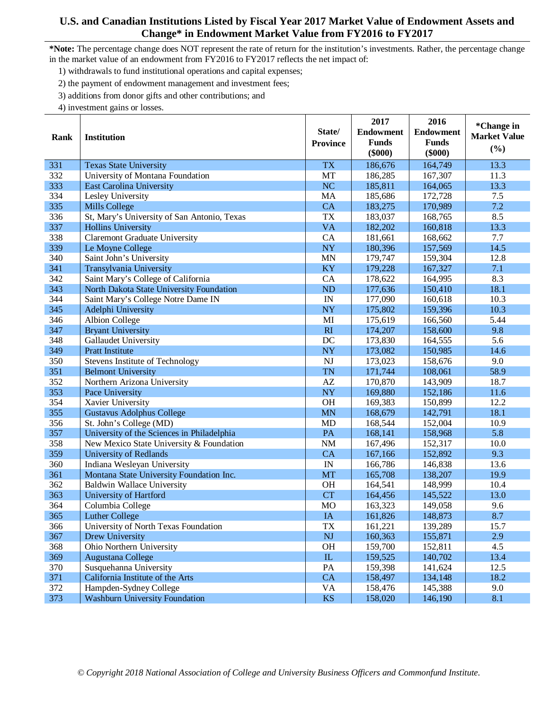- 1) withdrawals to fund institutional operations and capital expenses;
- 2) the payment of endowment management and investment fees;
- 3) additions from donor gifts and other contributions; and
- 4) investment gains or losses.

|      |                                             |                        | 2017             | 2016             | *Change in          |
|------|---------------------------------------------|------------------------|------------------|------------------|---------------------|
| Rank | <b>Institution</b>                          | State/                 | <b>Endowment</b> | <b>Endowment</b> | <b>Market Value</b> |
|      |                                             | <b>Province</b>        | <b>Funds</b>     | <b>Funds</b>     |                     |
|      |                                             |                        | $(\$000)$        | $(\$000)$        | (%)                 |
| 331  | <b>Texas State University</b>               | <b>TX</b>              | 186,676          | 164,749          | 13.3                |
| 332  | University of Montana Foundation            | MT                     | 186,285          | 167,307          | 11.3                |
| 333  | <b>East Carolina University</b>             | NC                     | 185,811          | 164,065          | 13.3                |
| 334  | Lesley University                           | MA                     | 185,686          | 172,728          | 7.5                 |
| 335  | <b>Mills College</b>                        | CA                     | 183,275          | 170,989          | 7.2                 |
| 336  | St, Mary's University of San Antonio, Texas | <b>TX</b>              | 183,037          | 168,765          | 8.5                 |
| 337  | <b>Hollins University</b>                   | <b>VA</b>              | 182,202          | 160,818          | 13.3                |
| 338  | <b>Claremont Graduate University</b>        | CA                     | 181,661          | 168,662          | 7.7                 |
| 339  | Le Moyne College                            | <b>NY</b>              | 180,396          | 157,569          | 14.5                |
| 340  | Saint John's University                     | <b>MN</b>              | 179,747          | 159,304          | 12.8                |
| 341  | Transylvania University                     | KY                     | 179,228          | 167,327          | 7.1                 |
| 342  | Saint Mary's College of California          | CA                     | 178,622          | 164,995          | 8.3                 |
| 343  | North Dakota State University Foundation    | ND                     | 177,636          | 150,410          | 18.1                |
| 344  | Saint Mary's College Notre Dame IN          | IN                     | 177,090          | 160,618          | 10.3                |
| 345  | Adelphi University                          | <b>NY</b>              | 175,802          | 159,396          | 10.3                |
| 346  | <b>Albion College</b>                       | MI                     | 175,619          | 166,560          | 5.44                |
| 347  | <b>Bryant University</b>                    | RI                     | 174,207          | 158,600          | 9.8                 |
| 348  | Gallaudet University                        | DC                     | 173,830          | 164,555          | 5.6                 |
| 349  | <b>Pratt Institute</b>                      | <b>NY</b>              | 173,082          | 150,985          | 14.6                |
| 350  | <b>Stevens Institute of Technology</b>      | <b>NJ</b>              | 173,023          | 158,676          | 9.0                 |
| 351  | <b>Belmont University</b>                   | <b>TN</b>              | 171,744          | 108,061          | 58.9                |
| 352  | Northern Arizona University                 | $\mathbf{A}\mathbf{Z}$ | 170,870          | 143,909          | 18.7                |
| 353  | Pace University                             | <b>NY</b>              | 169,880          | 152,186          | 11.6                |
| 354  | Xavier University                           | <b>OH</b>              | 169,383          | 150,899          | 12.2                |
| 355  | <b>Gustavus Adolphus College</b>            | <b>MN</b>              | 168,679          | 142,791          | 18.1                |
| 356  | St. John's College (MD)                     | <b>MD</b>              | 168,544          | 152,004          | 10.9                |
| 357  | University of the Sciences in Philadelphia  | PA                     | 168,141          | 158,968          | 5.8                 |
| 358  | New Mexico State University & Foundation    | <b>NM</b>              | 167,496          | 152,317          | 10.0                |
| 359  | <b>University of Redlands</b>               | CA                     | 167,166          | 152,892          | 9.3                 |
| 360  | Indiana Wesleyan University                 | IN                     | 166,786          | 146,838          | 13.6                |
| 361  | Montana State University Foundation Inc.    | <b>MT</b>              | 165,708          | 138,207          | 19.9                |
| 362  | <b>Baldwin Wallace University</b>           | <b>OH</b>              | 164,541          | 148,999          | 10.4                |
| 363  | University of Hartford                      | <b>CT</b>              | 164,456          | 145,522          | 13.0                |
| 364  | Columbia College                            | <b>MO</b>              | 163,323          | 149,058          | 9.6                 |
| 365  | <b>Luther College</b>                       | IA                     | 161,826          | 148,873          | 8.7                 |
| 366  | University of North Texas Foundation        | TX                     | 161,221          | 139,289          | 15.7                |
| 367  | Drew University                             | <b>NJ</b>              | 160,363          | 155,871          | 2.9                 |
| 368  | Ohio Northern University                    | <b>OH</b>              | 159,700          | 152,811          | 4.5                 |
| 369  | Augustana College                           | ${\rm IL}$             | 159,525          | 140,702          | 13.4                |
| 370  | Susquehanna University                      | PA                     | 159,398          | 141,624          | 12.5                |
| 371  | California Institute of the Arts            | CA                     | 158,497          | 134,148          | 18.2                |
| 372  | Hampden-Sydney College                      | <b>VA</b>              | 158,476          | 145,388          | 9.0                 |
| 373  | <b>Washburn University Foundation</b>       | <b>KS</b>              | 158,020          | 146,190          | 8.1                 |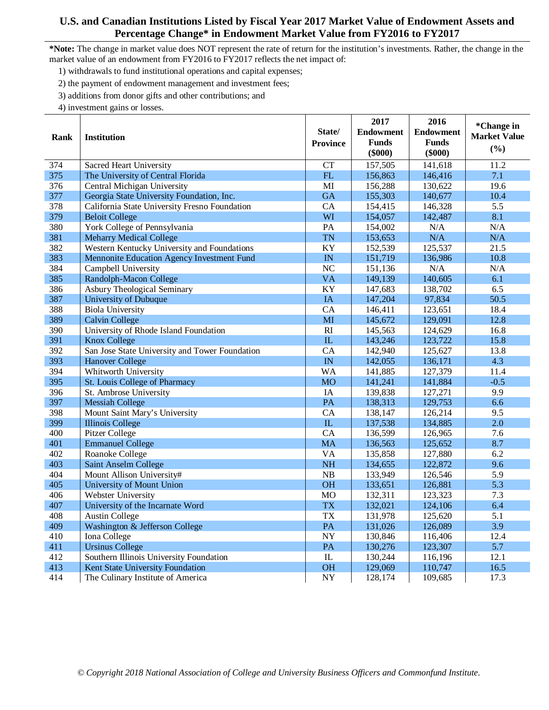- 1) withdrawals to fund institutional operations and capital expenses;
- 2) the payment of endowment management and investment fees;
- 3) additions from donor gifts and other contributions; and
- 4) investment gains or losses.

|      |                                                |                         | 2017             | 2016             | *Change in          |
|------|------------------------------------------------|-------------------------|------------------|------------------|---------------------|
| Rank | <b>Institution</b>                             | State/                  | <b>Endowment</b> | <b>Endowment</b> | <b>Market Value</b> |
|      |                                                | <b>Province</b>         | <b>Funds</b>     | <b>Funds</b>     | (%)                 |
|      |                                                |                         | $(\$000)$        | $(\$000)$        |                     |
| 374  | <b>Sacred Heart University</b>                 | CT                      | 157,505          | 141,618          | 11.2                |
| 375  | The University of Central Florida              | FL                      | 156,863          | 146,416          | 7.1                 |
| 376  | Central Michigan University                    | MI                      | 156,288          | 130,622          | 19.6                |
| 377  | Georgia State University Foundation, Inc.      | <b>GA</b>               | 155,303          | 140,677          | 10.4                |
| 378  | California State University Fresno Foundation  | CA                      | 154,415          | 146,328          | 5.5                 |
| 379  | <b>Beloit College</b>                          | WI                      | 154,057          | 142,487          | 8.1                 |
| 380  | York College of Pennsylvania                   | PA                      | 154,002          | N/A              | N/A                 |
| 381  | <b>Meharry Medical College</b>                 | <b>TN</b>               | 153,653          | N/A              | N/A                 |
| 382  | Western Kentucky University and Foundations    | KY                      | 152,539          | 125,537          | 21.5                |
| 383  | Mennonite Education Agency Investment Fund     | IN                      | 151,719          | 136,986          | 10.8                |
| 384  | Campbell University                            | <b>NC</b>               | 151,136          | N/A              | N/A                 |
| 385  | Randolph-Macon College                         | <b>VA</b>               | 149,139          | 140,605          | 6.1                 |
| 386  | <b>Asbury Theological Seminary</b>             | KY                      | 147,683          | 138,702          | 6.5                 |
| 387  | <b>University of Dubuque</b>                   | <b>IA</b>               | 147,204          | 97,834           | 50.5                |
| 388  | <b>Biola University</b>                        | CA                      | 146,411          | 123,651          | 18.4                |
| 389  | <b>Calvin College</b>                          | MI                      | 145,672          | 129,091          | 12.8                |
| 390  | University of Rhode Island Foundation          | $\overline{RI}$         | 145,563          | 124,629          | 16.8                |
| 391  | <b>Knox College</b>                            | ${\rm IL}$              | 143,246          | 123,722          | 15.8                |
| 392  | San Jose State University and Tower Foundation | CA                      | 142,940          | 125,627          | 13.8                |
| 393  | <b>Hanover College</b>                         | IN                      | 142,055          | 136,171          | 4.3                 |
| 394  | Whitworth University                           | <b>WA</b>               | 141,885          | 127,379          | 11.4                |
| 395  | St. Louis College of Pharmacy                  | <b>MO</b>               | 141,241          | 141,884          | $-0.5$              |
| 396  | St. Ambrose University                         | IA                      | 139,838          | 127,271          | 9.9                 |
| 397  | <b>Messiah College</b>                         | PA                      | 138,313          | 129,753          | 6.6                 |
| 398  | Mount Saint Mary's University                  | CA                      | 138,147          | 126.214          | 9.5                 |
| 399  | <b>Illinois College</b>                        | $\overline{\mathbf{L}}$ | 137,538          | 134,885          | 2.0                 |
| 400  | Pitzer College                                 | CA                      | 136,599          | 126,965          | 7.6                 |
| 401  | <b>Emmanuel College</b>                        | <b>MA</b>               | 136,563          | 125,652          | 8.7                 |
| 402  | Roanoke College                                | <b>VA</b>               | 135,858          | 127,880          | 6.2                 |
| 403  | <b>Saint Anselm College</b>                    | <b>NH</b>               | 134,655          | 122,872          | 9.6                 |
| 404  | Mount Allison University#                      | NB                      | 133,949          | 126,546          | 5.9                 |
| 405  | <b>University of Mount Union</b>               | <b>OH</b>               | 133,651          | 126,881          | 5.3                 |
| 406  | Webster University                             | <b>MO</b>               | 132,311          | 123,323          | 7.3                 |
| 407  | University of the Incarnate Word               | <b>TX</b>               | 132,021          | 124,106          | 6.4                 |
| 408  | <b>Austin College</b>                          | <b>TX</b>               | 131,978          | 125,620          | 5.1                 |
| 409  | Washington & Jefferson College                 | PA                      | 131,026          | 126,089          | 3.9                 |
| 410  | Iona College                                   | $\overline{NY}$         | 130,846          | 116,406          | 12.4                |
| 411  | <b>Ursinus College</b>                         | PA                      | 130,276          | 123,307          | 5.7                 |
| 412  | Southern Illinois University Foundation        | $\mathbf{L}$            | 130,244          | 116,196          | 12.1                |
| 413  | Kent State University Foundation               | <b>OH</b>               | 129,069          | 110,747          | 16.5                |
| 414  | The Culinary Institute of America              | <b>NY</b>               | 128,174          | 109,685          | 17.3                |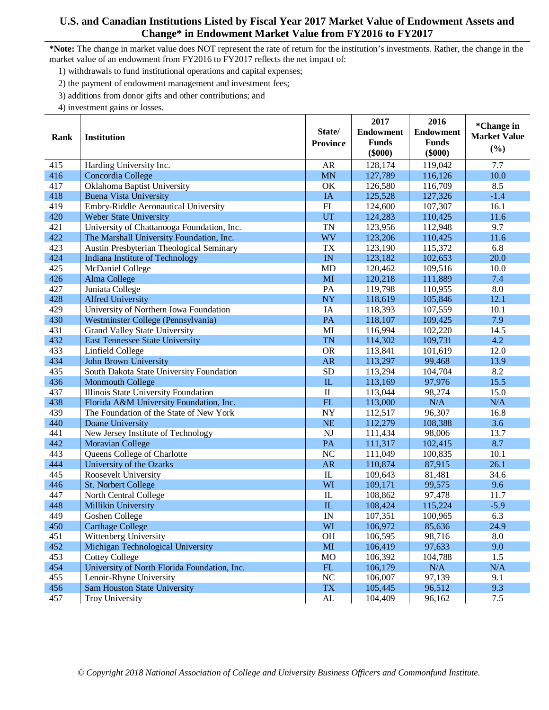- 1) withdrawals to fund institutional operations and capital expenses;
- 2) the payment of endowment management and investment fees;
- 3) additions from donor gifts and other contributions; and
- 4) investment gains or losses.

|      |                                              |                 | 2017             | 2016             | *Change in          |
|------|----------------------------------------------|-----------------|------------------|------------------|---------------------|
| Rank | <b>Institution</b>                           | State/          | <b>Endowment</b> | <b>Endowment</b> | <b>Market Value</b> |
|      |                                              | <b>Province</b> | <b>Funds</b>     | <b>Funds</b>     | (%)                 |
|      |                                              |                 | $(\$000)$        | $(\$000)$        |                     |
| 415  | Harding University Inc.                      | <b>AR</b>       | 128,174          | 119,042          | 7.7                 |
| 416  | Concordia College                            | <b>MN</b>       | 127,789          | 116,126          | 10.0                |
| 417  | Oklahoma Baptist University                  | OK              | 126,580          | 116,709          | 8.5                 |
| 418  | <b>Buena Vista University</b>                | <b>IA</b>       | 125,528          | 127,326          | $-1.4$              |
| 419  | Embry-Riddle Aeronautical University         | FL              | 124,600          | 107,307          | 16.1                |
| 420  | Weber State University                       | UT              | 124,283          | 110,425          | 11.6                |
| 421  | University of Chattanooga Foundation, Inc.   | <b>TN</b>       | 123,956          | 112,948          | 9.7                 |
| 422  | The Marshall University Foundation, Inc.     | <b>WV</b>       | 123,206          | 110,425          | 11.6                |
| 423  | Austin Presbyterian Theological Seminary     | <b>TX</b>       | 123,190          | 115,372          | 6.8                 |
| 424  | Indiana Institute of Technology              | IN              | 123,182          | 102,653          | 20.0                |
| 425  | <b>McDaniel College</b>                      | <b>MD</b>       | 120,462          | 109,516          | 10.0                |
| 426  | Alma College                                 | MI              | 120,218          | 111,889          | 7.4                 |
| 427  | Juniata College                              | PA              | 119,798          | 110,955          | 8.0                 |
| 428  | <b>Alfred University</b>                     | NY              | 118,619          | 105,846          | 12.1                |
| 429  | University of Northern Iowa Foundation       | IA              | 118,393          | 107,559          | 10.1                |
| 430  | Westminster College (Pennsylvania)           | PA              | 118,107          | 109,425          | 7.9                 |
| 431  | Grand Valley State University                | MI              | 116,994          | 102,220          | 14.5                |
| 432  | <b>East Tennessee State University</b>       | <b>TN</b>       | 114,302          | 109,731          | 4.2                 |
| 433  | Linfield College                             | <b>OR</b>       | 113,841          | 101,619          | 12.0                |
| 434  | John Brown University                        | <b>AR</b>       | 113,297          | 99,468           | 13.9                |
| 435  | South Dakota State University Foundation     | <b>SD</b>       | 113,294          | 104,704          | 8.2                 |
| 436  | <b>Monmouth College</b>                      | IL              | 113,169          | 97,976           | 15.5                |
| 437  | Illinois State University Foundation         | IL              | 113,044          | 98,274           | 15.0                |
| 438  | Florida A&M University Foundation, Inc.      | FL              | 113,000          | N/A              | N/A                 |
| 439  | The Foundation of the State of New York      | NY              | 112,517          | 96,307           | 16.8                |
| 440  | Doane University                             | <b>NE</b>       | 112,279          | 108,388          | 3.6                 |
| 441  | New Jersey Institute of Technology           | <b>NJ</b>       | 111,434          | 98,006           | 13.7                |
| 442  | <b>Moravian College</b>                      | PA              | 111,317          | 102,415          | 8.7                 |
| 443  | Queens College of Charlotte                  | N <sub>C</sub>  | 111,049          | 100,835          | 10.1                |
| 444  | University of the Ozarks                     | <b>AR</b>       | 110,874          | 87,915           | 26.1                |
| 445  | Roosevelt University                         | $\rm IL$        | 109,643          | 81,481           | 34.6                |
| 446  | St. Norbert College                          | WI              | 109,171          | 99,575           | 9.6                 |
| 447  | North Central College                        | $\rm IL$        | 108,862          | 97,478           | 11.7                |
| 448  | Millikin University                          | IL              | 108,424          | 115,224          | $-5.9$              |
| 449  | Goshen College                               | IN              | 107,351          | 100,965          | 6.3                 |
| 450  | <b>Carthage College</b>                      | WI              | 106,972          | 85,636           | 24.9                |
| 451  | Wittenberg University                        | <b>OH</b>       | 106,595          | 98,716           | 8.0                 |
| 452  | Michigan Technological University            | MI              | 106,419          | 97,633           | 9.0                 |
| 453  | <b>Cottey College</b>                        | <b>MO</b>       | 106,392          | 104,788          | 1.5                 |
| 454  | University of North Florida Foundation, Inc. | ${\rm FL}$      | 106,179          | N/A              | N/A                 |
| 455  | Lenoir-Rhyne University                      | NC              | 106,007          | 97,139           | 9.1                 |
| 456  | <b>Sam Houston State University</b>          | <b>TX</b>       | 105,445          | 96,512           | 9.3                 |
| 457  | <b>Troy University</b>                       | ${\rm AL}$      | 104,409          | 96,162           | 7.5                 |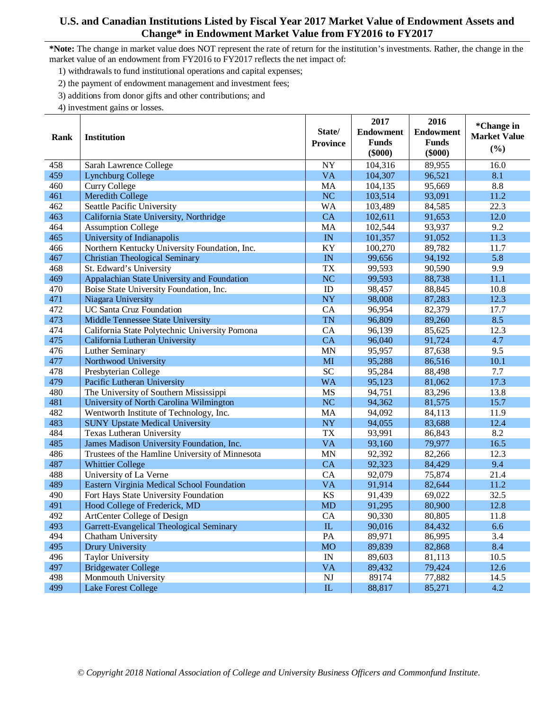- 1) withdrawals to fund institutional operations and capital expenses;
- 2) the payment of endowment management and investment fees;
- 3) additions from donor gifts and other contributions; and
- 4) investment gains or losses.

|      |                                                 |                        | 2017             | 2016             | *Change in          |
|------|-------------------------------------------------|------------------------|------------------|------------------|---------------------|
|      |                                                 | State/                 | <b>Endowment</b> | <b>Endowment</b> | <b>Market Value</b> |
| Rank | <b>Institution</b>                              | <b>Province</b>        | <b>Funds</b>     | <b>Funds</b>     |                     |
|      |                                                 |                        | $(\$000)$        | $(\$000)$        | (%)                 |
| 458  | Sarah Lawrence College                          | NY                     | 104,316          | 89,955           | 16.0                |
| 459  | <b>Lynchburg College</b>                        | <b>VA</b>              | 104,307          | 96,521           | 8.1                 |
| 460  | <b>Curry College</b>                            | MA                     | 104,135          | 95,669           | 8.8                 |
| 461  | <b>Meredith College</b>                         | <b>NC</b>              | 103,514          | 93,091           | 11.2                |
| 462  | Seattle Pacific University                      | <b>WA</b>              | 103,489          | 84,585           | 22.3                |
| 463  | California State University, Northridge         | CA                     | 102,611          | 91,653           | 12.0                |
| 464  | <b>Assumption College</b>                       | MA                     | 102,544          | 93,937           | 9.2                 |
| 465  | University of Indianapolis                      | IN                     | 101,357          | 91,052           | 11.3                |
| 466  | Northern Kentucky University Foundation, Inc.   | KY                     | 100,270          | 89,782           | 11.7                |
| 467  | <b>Christian Theological Seminary</b>           | IN                     | 99,656           | 94,192           | 5.8                 |
| 468  | St. Edward's University                         | <b>TX</b>              | 99,593           | 90,590           | 9.9                 |
| 469  | Appalachian State University and Foundation     | NC                     | 99,593           | 88,738           | 11.1                |
| 470  | Boise State University Foundation, Inc.         | $\rm ID$               | 98,457           | 88,845           | 10.8                |
| 471  | Niagara University                              | NY                     | 98,008           | 87,283           | 12.3                |
| 472  | <b>UC Santa Cruz Foundation</b>                 | CA                     | 96,954           | 82,379           | 17.7                |
| 473  | Middle Tennessee State University               | <b>TN</b>              | 96,809           | 89,260           | 8.5                 |
| 474  | California State Polytechnic University Pomona  | CA                     | 96,139           | 85,625           | 12.3                |
| 475  | California Lutheran University                  | CA                     | 96,040           | 91,724           | 4.7                 |
| 476  | Luther Seminary                                 | <b>MN</b>              | 95,957           | 87,638           | 9.5                 |
| 477  | Northwood University                            | MI                     | 95,288           | 86,516           | 10.1                |
| 478  | Presbyterian College                            | <b>SC</b>              | 95,284           | 88,498           | 7.7                 |
| 479  | Pacific Lutheran University                     | <b>WA</b>              | 95,123           | 81,062           | 17.3                |
| 480  | The University of Southern Mississippi          | <b>MS</b>              | 94,751           | 83,296           | 13.8                |
| 481  | University of North Carolina Wilmington         | NC                     | 94,362           | 81,575           | 15.7                |
| 482  | Wentworth Institute of Technology, Inc.         | MA                     | 94,092           | 84,113           | 11.9                |
| 483  | <b>SUNY Upstate Medical University</b>          | <b>NY</b>              | 94,055           | 83,688           | 12.4                |
| 484  | Texas Lutheran University                       | <b>TX</b>              | 93,991           | 86,843           | 8.2                 |
| 485  | James Madison University Foundation, Inc.       | <b>VA</b>              | 93,160           | 79,977           | 16.5                |
| 486  | Trustees of the Hamline University of Minnesota | <b>MN</b>              | 92,392           | 82,266           | 12.3                |
| 487  | <b>Whittier College</b>                         | <b>CA</b>              | 92,323           | 84,429           | 9.4                 |
| 488  | University of La Verne                          | CA                     | 92,079           | 75,874           | 21.4                |
| 489  | Eastern Virginia Medical School Foundation      | <b>VA</b>              | 91,914           | 82,644           | 11.2                |
| 490  | Fort Hays State University Foundation           | <b>KS</b>              | 91,439           | 69,022           | 32.5                |
| 491  | Hood College of Frederick, MD                   | <b>MD</b>              | 91,295           | 80,900           | 12.8                |
| 492  | ArtCenter College of Design                     | CA                     | 90,330           | 80,805           | 11.8                |
| 493  | Garrett-Evangelical Theological Seminary        | ${\rm IL}$             | 90,016           | 84,432           | 6.6                 |
| 494  | Chatham University                              | PA                     | 89,971           | 86,995           | 3.4                 |
| 495  | Drury University                                | <b>MO</b>              | 89,839           | 82,868           | 8.4                 |
| 496  | <b>Taylor University</b>                        | IN                     | 89,603           | 81,113           | 10.5                |
| 497  | <b>Bridgewater College</b>                      | <b>VA</b>              | 89,432           | 79,424           | 12.6                |
| 498  | Monmouth University                             | $\mathbf{N}\mathbf{J}$ | 89174            | 77,882           | 14.5                |
| 499  | <b>Lake Forest College</b>                      | ${\rm IL}$             | 88,817           | 85,271           | 4.2                 |
|      |                                                 |                        |                  |                  |                     |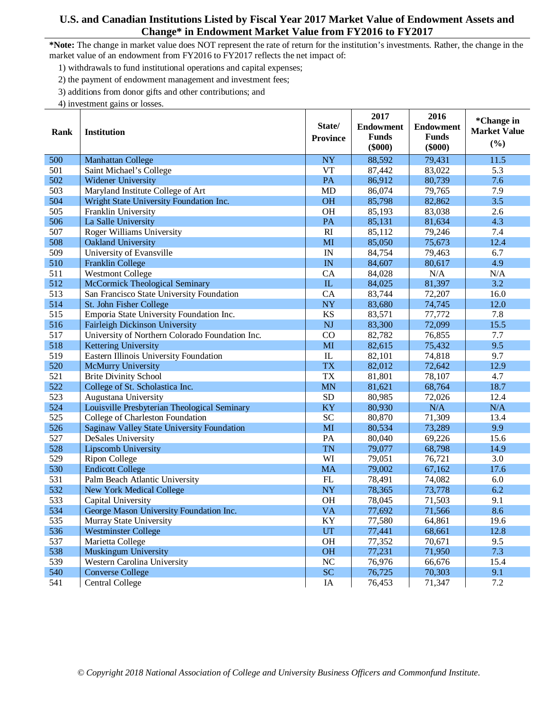- 1) withdrawals to fund institutional operations and capital expenses;
- 2) the payment of endowment management and investment fees;
- 3) additions from donor gifts and other contributions; and
- 4) investment gains or losses.

|      |                                                 |                 | 2017             | 2016             | *Change in          |
|------|-------------------------------------------------|-----------------|------------------|------------------|---------------------|
| Rank | <b>Institution</b>                              | State/          | <b>Endowment</b> | <b>Endowment</b> | <b>Market Value</b> |
|      |                                                 | <b>Province</b> | <b>Funds</b>     | <b>Funds</b>     | (%)                 |
|      |                                                 |                 | $(\$000)$        | $(\$000)$        |                     |
| 500  | Manhattan College                               | <b>NY</b>       | 88,592           | 79,431           | 11.5                |
| 501  | Saint Michael's College                         | <b>VT</b>       | 87,442           | 83,022           | 5.3                 |
| 502  | Widener University                              | PA              | 86,912           | 80,739           | 7.6                 |
| 503  | Maryland Institute College of Art               | <b>MD</b>       | 86,074           | 79,765           | 7.9                 |
| 504  | Wright State University Foundation Inc.         | <b>OH</b>       | 85,798           | 82,862           | 3.5                 |
| 505  | Franklin University                             | <b>OH</b>       | 85,193           | 83,038           | 2.6                 |
| 506  | La Salle University                             | PA              | 85,131           | 81,634           | 4.3                 |
| 507  | <b>Roger Williams University</b>                | R <sub>I</sub>  | 85,112           | 79,246           | 7.4                 |
| 508  | Oakland University                              | MI              | 85,050           | 75,673           | 12.4                |
| 509  | University of Evansville                        | IN              | 84,754           | 79,463           | 6.7                 |
| 510  | Franklin College                                | IN              | 84,607           | 80,617           | 4.9                 |
| 511  | <b>Westmont College</b>                         | CA              | 84,028           | N/A              | N/A                 |
| 512  | <b>McCormick Theological Seminary</b>           | ${\rm IL}$      | 84,025           | 81,397           | 3.2                 |
| 513  | San Francisco State University Foundation       | CA              | 83,744           | 72,207           | 16.0                |
| 514  | St. John Fisher College                         | <b>NY</b>       | 83,680           | 74,745           | 12.0                |
| 515  | Emporia State University Foundation Inc.        | KS              | 83,571           | 77,772           | 7.8                 |
| 516  | Fairleigh Dickinson University                  | <b>NJ</b>       | 83,300           | 72,099           | 15.5                |
| 517  | University of Northern Colorado Foundation Inc. | CO              | 82,782           | 76,855           | 7.7                 |
| 518  | <b>Kettering University</b>                     | MI              | 82,615           | 75,432           | 9.5                 |
| 519  | Eastern Illinois University Foundation          | $\rm IL$        | 82,101           | 74,818           | 9.7                 |
| 520  | McMurry University                              | <b>TX</b>       | 82,012           | 72,642           | 12.9                |
| 521  | <b>Brite Divinity School</b>                    | <b>TX</b>       | 81,801           | 78,107           | 4.7                 |
| 522  | College of St. Scholastica Inc.                 | <b>MN</b>       | 81,621           | 68,764           | 18.7                |
| 523  | Augustana University                            | <b>SD</b>       | 80,985           | 72,026           | 12.4                |
| 524  | Louisville Presbyterian Theological Seminary    | KY              | 80,930           | N/A              | N/A                 |
| 525  | College of Charleston Foundation                | <b>SC</b>       | 80,870           | 71,309           | 13.4                |
| 526  | Saginaw Valley State University Foundation      | MI              | 80,534           | 73,289           | 9.9                 |
| 527  | DeSales University                              | PA              | 80,040           | 69,226           | 15.6                |
| 528  | Lipscomb University                             | <b>TN</b>       | 79,077           | 68,798           | 14.9                |
| 529  | <b>Ripon College</b>                            | WI              | 79,051           | 76,721           | 3.0                 |
| 530  | <b>Endicott College</b>                         | <b>MA</b>       | 79,002           | 67,162           | 17.6                |
| 531  | Palm Beach Atlantic University                  | FL              | 78,491           | 74,082           | 6.0                 |
| 532  | <b>New York Medical College</b>                 | <b>NY</b>       | 78,365           | 73,778           | 6.2                 |
| 533  | Capital University                              | <b>OH</b>       | 78,045           | 71,503           | 9.1                 |
| 534  | George Mason University Foundation Inc.         | <b>VA</b>       | 77,692           | 71,566           | 8.6                 |
| 535  | Murray State University                         | KY              | 77,580           | 64,861           | 19.6                |
| 536  | <b>Westminster College</b>                      | UT              | 77,441           | 68,661           | 12.8                |
| 537  | Marietta College                                | <b>OH</b>       | 77,352           | 70,671           | 9.5                 |
| 538  | Muskingum University                            | <b>OH</b>       | 77,231           | 71,950           | 7.3                 |
| 539  | Western Carolina University                     | $\rm NC$        | 76,976           | 66,676           | 15.4                |
| 540  | <b>Converse College</b>                         | <b>SC</b>       | 76,725           | 70,303           | 9.1                 |
| 541  | <b>Central College</b>                          | IA              | 76,453           | 71,347           | 7.2                 |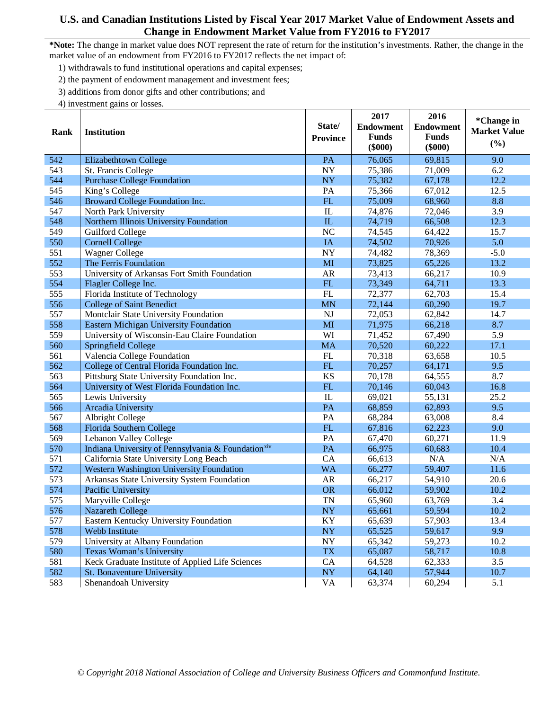- 1) withdrawals to fund institutional operations and capital expenses;
- 2) the payment of endowment management and investment fees;
- 3) additions from donor gifts and other contributions; and
- 4) investment gains or losses.

|             |                                                                |                 | 2017             | 2016             | *Change in          |
|-------------|----------------------------------------------------------------|-----------------|------------------|------------------|---------------------|
| <b>Rank</b> | <b>Institution</b>                                             | State/          | <b>Endowment</b> | <b>Endowment</b> | <b>Market Value</b> |
|             |                                                                | <b>Province</b> | <b>Funds</b>     | <b>Funds</b>     |                     |
|             |                                                                |                 | $(\$000)$        | $(\$000)$        | (%)                 |
| 542         | Elizabethtown College                                          | PA              | 76,065           | 69,815           | 9.0                 |
| 543         | St. Francis College                                            | <b>NY</b>       | 75,386           | 71,009           | 6.2                 |
| 544         | <b>Purchase College Foundation</b>                             | NY              | 75,382           | 67,178           | 12.2                |
| 545         | King's College                                                 | PA              | 75,366           | 67,012           | 12.5                |
| 546         | Broward College Foundation Inc.                                | FL              | 75,009           | 68,960           | 8.8                 |
| 547         | North Park University                                          | $\mathbf{I}$    | 74,876           | 72,046           | 3.9                 |
| 548         | Northern Illinois University Foundation                        | IL              | 74,719           | 66,508           | 12.3                |
| 549         | <b>Guilford College</b>                                        | N <sub>C</sub>  | 74,545           | 64,422           | 15.7                |
| 550         | <b>Cornell College</b>                                         | IA              | 74,502           | 70,926           | 5.0                 |
| 551         | <b>Wagner College</b>                                          | NY              | 74,482           | 78,369           | $-5.0$              |
| 552         | The Ferris Foundation                                          | MI              | 73,825           | 65,226           | 13.2                |
| 553         | University of Arkansas Fort Smith Foundation                   | AR              | 73,413           | 66,217           | 10.9                |
| 554         | Flagler College Inc.                                           | FL              | 73,349           | 64,711           | 13.3                |
| 555         | Florida Institute of Technology                                | FL              | 72,377           | 62,703           | 15.4                |
| 556         | <b>College of Saint Benedict</b>                               | <b>MN</b>       | 72,144           | 60,290           | 19.7                |
| 557         | Montclair State University Foundation                          | <b>NJ</b>       | 72,053           | 62,842           | 14.7                |
| 558         | <b>Eastern Michigan University Foundation</b>                  | MI              | 71,975           | 66,218           | 8.7                 |
| 559         | University of Wisconsin-Eau Claire Foundation                  | WI              | 71,452           | 67,490           | 5.9                 |
| 560         | <b>Springfield College</b>                                     | <b>MA</b>       | 70,520           | 60,222           | 17.1                |
| 561         | Valencia College Foundation                                    | FL              | 70,318           | 63,658           | 10.5                |
| 562         | College of Central Florida Foundation Inc.                     | ${\rm FL}$      | 70,257           | 64,171           | 9.5                 |
| 563         | Pittsburg State University Foundation Inc.                     | <b>KS</b>       | 70,178           | 64,555           | 8.7                 |
| 564         | University of West Florida Foundation Inc.                     | FL              | 70,146           | 60,043           | 16.8                |
| 565         | Lewis University                                               | IL              | 69,021           | 55,131           | 25.2                |
| 566         | Arcadia University                                             | PA              | 68,859           | 62,893           | 9.5                 |
| 567         | Albright College                                               | PA              | 68,284           | 63,008           | 8.4                 |
| 568         | Florida Southern College                                       | FL              | 67,816           | 62,223           | 9.0                 |
| 569         | Lebanon Valley College                                         | PA              | 67,470           | 60,271           | 11.9                |
| 570         | Indiana University of Pennsylvania & Foundation <sup>xiv</sup> | PA              | 66,975           | 60,683           | 10.4                |
| 571         | California State University Long Beach                         | CA              | 66,613           | N/A              | N/A                 |
| 572         | Western Washington University Foundation                       | <b>WA</b>       | 66,277           | 59,407           | 11.6                |
| 573         | Arkansas State University System Foundation                    | AR              | 66,217           | 54,910           | 20.6                |
| 574         | Pacific University                                             | <b>OR</b>       | 66,012           | 59,902           | 10.2                |
| 575         | Maryville College                                              | <b>TN</b>       | 65,960           | 63,769           | 3.4                 |
| 576         | <b>Nazareth College</b>                                        | <b>NY</b>       | 65,661           | 59,594           | 10.2                |
| 577         | Eastern Kentucky University Foundation                         | KY              | 65,639           | 57,903           | 13.4                |
| 578         | Webb Institute                                                 | <b>NY</b>       | 65,525           | 59,617           | 9.9                 |
| 579         | University at Albany Foundation                                | <b>NY</b>       | 65,342           | 59,273           | 10.2                |
| 580         | <b>Texas Woman's University</b>                                | <b>TX</b>       | 65,087           | 58,717           | 10.8                |
| 581         | Keck Graduate Institute of Applied Life Sciences               | CA              | 64,528           | 62,333           | 3.5                 |
| 582         | St. Bonaventure University                                     | <b>NY</b>       | 64,140           | 57,944           | 10.7                |
| 583         | Shenandoah University                                          | VA              | 63,374           | 60,294           | 5.1                 |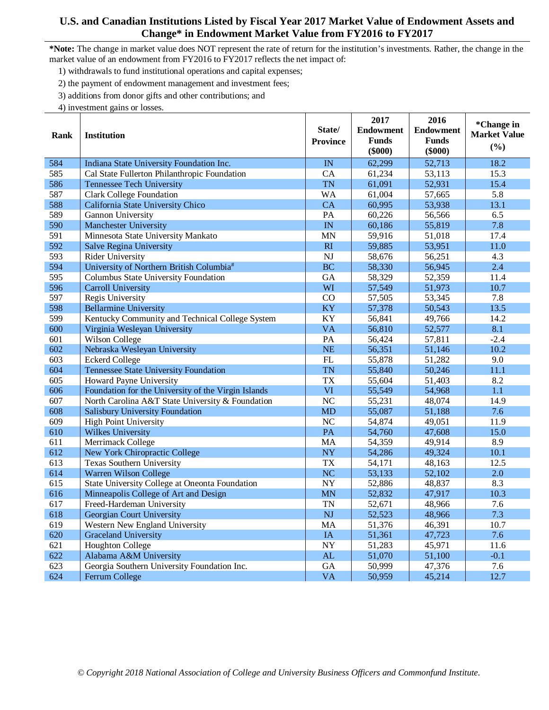- 1) withdrawals to fund institutional operations and capital expenses;
- 2) the payment of endowment management and investment fees;
- 3) additions from donor gifts and other contributions; and
- 4) investment gains or losses.

|      |                                                     |                 | 2017             | 2016             | *Change in          |
|------|-----------------------------------------------------|-----------------|------------------|------------------|---------------------|
| Rank | <b>Institution</b>                                  | State/          | <b>Endowment</b> | <b>Endowment</b> | <b>Market Value</b> |
|      |                                                     | <b>Province</b> | <b>Funds</b>     | <b>Funds</b>     | (%)                 |
|      |                                                     |                 | $(\$000)$        | $(\$000)$        |                     |
| 584  | Indiana State University Foundation Inc.            | IN              | 62,299           | 52,713           | 18.2                |
| 585  | Cal State Fullerton Philanthropic Foundation        | CA              | 61,234           | 53,113           | 15.3                |
| 586  | <b>Tennessee Tech University</b>                    | <b>TN</b>       | 61,091           | 52,931           | 15.4                |
| 587  | <b>Clark College Foundation</b>                     | <b>WA</b>       | 61,004           | 57,665           | 5.8                 |
| 588  | California State University Chico                   | <b>CA</b>       | 60,995           | 53,938           | 13.1                |
| 589  | Gannon University                                   | PA              | 60,226           | 56,566           | 6.5                 |
| 590  | <b>Manchester University</b>                        | IN              | 60,186           | 55,819           | 7.8                 |
| 591  | Minnesota State University Mankato                  | <b>MN</b>       | 59,916           | 51,018           | 17.4                |
| 592  | <b>Salve Regina University</b>                      | RI              | 59,885           | 53,951           | 11.0                |
| 593  | Rider University                                    | <b>NJ</b>       | 58,676           | 56,251           | 4.3                 |
| 594  | University of Northern British Columbia#            | <b>BC</b>       | 58,330           | 56,945           | 2.4                 |
| 595  | Columbus State University Foundation                | GA              | 58,329           | 52,359           | 11.4                |
| 596  | <b>Carroll University</b>                           | WI              | 57,549           | 51,973           | 10.7                |
| 597  | Regis University                                    | CO              | 57,505           | 53,345           | 7.8                 |
| 598  | <b>Bellarmine University</b>                        | <b>KY</b>       | 57,378           | 50,543           | 13.5                |
| 599  | Kentucky Community and Technical College System     | KY              | 56,841           | 49,766           | 14.2                |
| 600  | Virginia Wesleyan University                        | <b>VA</b>       | 56,810           | 52,577           | 8.1                 |
| 601  | Wilson College                                      | PA              | 56,424           | 57,811           | $-2.4$              |
| 602  | Nebraska Wesleyan University                        | <b>NE</b>       | 56,351           | 51,146           | 10.2                |
| 603  | <b>Eckerd College</b>                               | FL              | 55,878           | 51,282           | 9.0                 |
| 604  | <b>Tennessee State University Foundation</b>        | <b>TN</b>       | 55,840           | 50,246           | 11.1                |
| 605  | Howard Payne University                             | <b>TX</b>       | 55,604           | 51,403           | 8.2                 |
| 606  | Foundation for the University of the Virgin Islands | VI              | 55,549           | 54,968           | 1.1                 |
| 607  | North Carolina A&T State University & Foundation    | N <sub>C</sub>  | 55,231           | 48,074           | 14.9                |
| 608  | <b>Salisbury University Foundation</b>              | <b>MD</b>       | 55,087           | 51,188           | 7.6                 |
| 609  | <b>High Point University</b>                        | NC              | 54,874           | 49,051           | 11.9                |
| 610  | <b>Wilkes University</b>                            | PA              | 54,760           | 47,608           | 15.0                |
| 611  | Merrimack College                                   | <b>MA</b>       | 54,359           | 49,914           | 8.9                 |
| 612  | <b>New York Chiropractic College</b>                | <b>NY</b>       | 54,286           | 49,324           | 10.1                |
| 613  | Texas Southern University                           | <b>TX</b>       | 54,171           | 48,163           | 12.5                |
| 614  | Warren Wilson College                               | <b>NC</b>       | 53,133           | 52,102           | 2.0                 |
| 615  | State University College at Oneonta Foundation      | <b>NY</b>       | 52,886           | 48,837           | 8.3                 |
| 616  | Minneapolis College of Art and Design               | <b>MN</b>       | 52,832           | 47,917           | 10.3                |
| 617  | Freed-Hardeman University                           | <b>TN</b>       | 52,671           | 48,966           | 7.6                 |
| 618  | Georgian Court University                           | <b>NJ</b>       | 52,523           | 48,966           | 7.3                 |
| 619  | Western New England University                      | <b>MA</b>       | 51,376           | 46,391           | 10.7                |
| 620  | <b>Graceland University</b>                         | IA              | 51,361           | 47,723           | 7.6                 |
| 621  | <b>Houghton College</b>                             | $\overline{NY}$ | 51,283           | 45,971           | 11.6                |
| 622  | Alabama A&M University                              | AL              | 51,070           | 51,100           | $-0.1$              |
| 623  | Georgia Southern University Foundation Inc.         | GA              | 50,999           | 47,376           | 7.6                 |
| 624  | Ferrum College                                      | <b>VA</b>       | 50,959           | 45,214           | 12.7                |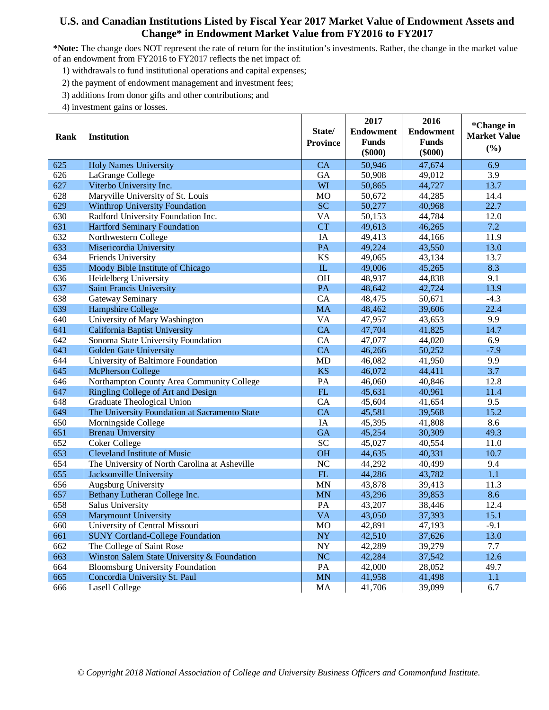**\*Note:** The change does NOT represent the rate of return for the institution's investments. Rather, the change in the market value of an endowment from FY2016 to FY2017 reflects the net impact of:

1) withdrawals to fund institutional operations and capital expenses;

2) the payment of endowment management and investment fees;

3) additions from donor gifts and other contributions; and

| Rank | <b>Institution</b>                            | State/<br><b>Province</b> | 2017<br><b>Endowment</b><br><b>Funds</b><br>$(\$000)$ | 2016<br><b>Endowment</b><br><b>Funds</b><br>$(\$000)$ | *Change in<br><b>Market Value</b><br>(%) |
|------|-----------------------------------------------|---------------------------|-------------------------------------------------------|-------------------------------------------------------|------------------------------------------|
| 625  | <b>Holy Names University</b>                  | <b>CA</b>                 | 50,946                                                | 47,674                                                | 6.9                                      |
| 626  | LaGrange College                              | <b>GA</b>                 | 50,908                                                | 49,012                                                | 3.9                                      |
| 627  | Viterbo University Inc.                       | WI                        | 50,865                                                | 44,727                                                | 13.7                                     |
| 628  | Maryville University of St. Louis             | <b>MO</b>                 | 50,672                                                | 44,285                                                | 14.4                                     |
| 629  | <b>Winthrop University Foundation</b>         | <b>SC</b>                 | 50,277                                                | 40,968                                                | 22.7                                     |
| 630  | Radford University Foundation Inc.            | VA                        | 50,153                                                | 44,784                                                | 12.0                                     |
| 631  | <b>Hartford Seminary Foundation</b>           | <b>CT</b>                 | 49,613                                                | 46,265                                                | 7.2                                      |
| 632  | Northwestern College                          | IA                        | 49,413                                                | 44,166                                                | 11.9                                     |
| 633  | Misericordia University                       | PA                        | 49,224                                                | 43,550                                                | 13.0                                     |
| 634  | Friends University                            | KS                        | 49,065                                                | 43,134                                                | 13.7                                     |
| 635  | Moody Bible Institute of Chicago              | ${\rm IL}$                | 49,006                                                | 45,265                                                | 8.3                                      |
| 636  | Heidelberg University                         | <b>OH</b>                 | 48,937                                                | 44,838                                                | 9.1                                      |
| 637  | <b>Saint Francis University</b>               | PA                        | 48,642                                                | 42,724                                                | 13.9                                     |
| 638  | Gateway Seminary                              | CA                        | 48,475                                                | 50,671                                                | $-4.3$                                   |
| 639  | Hampshire College                             | <b>MA</b>                 | 48,462                                                | 39,606                                                | 22.4                                     |
| 640  | University of Mary Washington                 | <b>VA</b>                 | 47,957                                                | 43,653                                                | 9.9                                      |
| 641  | California Baptist University                 | CA                        | 47,704                                                | 41,825                                                | 14.7                                     |
| 642  | Sonoma State University Foundation            | CA                        | 47,077                                                | 44,020                                                | 6.9                                      |
| 643  | Golden Gate University                        | <b>CA</b>                 | 46,266                                                | 50,252                                                | $-7.9$                                   |
| 644  | University of Baltimore Foundation            | <b>MD</b>                 | 46,082                                                | 41,950                                                | 9.9                                      |
| 645  | <b>McPherson College</b>                      | <b>KS</b>                 | 46,072                                                | 44,411                                                | 3.7                                      |
| 646  | Northampton County Area Community College     | PA                        | 46,060                                                | 40,846                                                | 12.8                                     |
| 647  | Ringling College of Art and Design            | FL                        | 45,631                                                | 40,961                                                | 11.4                                     |
| 648  | Graduate Theological Union                    | CA                        | 45,604                                                | 41,654                                                | 9.5                                      |
| 649  | The University Foundation at Sacramento State | CA                        | 45,581                                                | 39,568                                                | 15.2                                     |
| 650  | Morningside College                           | IA                        | 45,395                                                | 41,808                                                | 8.6                                      |
| 651  | <b>Brenau University</b>                      | <b>GA</b>                 | 45,254                                                | 30,309                                                | 49.3                                     |
| 652  | <b>Coker College</b>                          | <b>SC</b>                 | 45,027                                                | 40,554                                                | 11.0                                     |
| 653  | <b>Cleveland Institute of Music</b>           | <b>OH</b>                 | 44,635                                                | 40,331                                                | 10.7                                     |
| 654  | The University of North Carolina at Asheville | NC                        | 44,292                                                | 40,499                                                | 9.4                                      |
| 655  | Jacksonville University                       | FL                        | 44,286                                                | 43,782                                                | 1.1                                      |
| 656  | Augsburg University                           | <b>MN</b>                 | 43,878                                                | 39,413                                                | 11.3                                     |
| 657  | Bethany Lutheran College Inc.                 | <b>MN</b>                 | 43,296                                                | 39,853                                                | 8.6                                      |
| 658  | Salus University                              | PA                        | 43,207                                                | 38,446                                                | 12.4                                     |
| 659  | <b>Marymount University</b>                   | <b>VA</b>                 | 43,050                                                | 37,393                                                | 15.1                                     |
| 660  | University of Central Missouri                | MO                        | 42,891                                                | 47,193                                                | $-9.1$                                   |
| 661  | <b>SUNY Cortland-College Foundation</b>       | <b>NY</b>                 | 42,510                                                | 37,626                                                | 13.0                                     |
| 662  | The College of Saint Rose                     | $\ensuremath{\text{NY}}$  | 42,289                                                | 39,279                                                | 7.7                                      |
| 663  | Winston Salem State University & Foundation   | <b>NC</b>                 | 42,284                                                | 37,542                                                | 12.6                                     |
| 664  | <b>Bloomsburg University Foundation</b>       | PA                        | 42,000                                                | 28,052                                                | 49.7                                     |
| 665  | Concordia University St. Paul                 | MN                        | 41,958                                                | 41,498                                                | 1.1                                      |
| 666  | <b>Lasell College</b>                         | MA                        | 41,706                                                | 39,099                                                | 6.7                                      |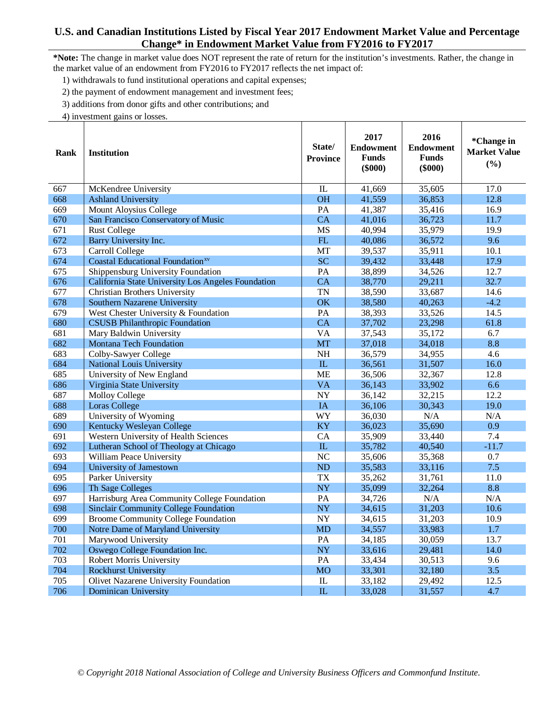## **U.S. and Canadian Institutions Listed by Fiscal Year 2017 Endowment Market Value and Percentage Change\* in Endowment Market Value from FY2016 to FY2017**

**\*Note:** The change in market value does NOT represent the rate of return for the institution's investments. Rather, the change in the market value of an endowment from FY2016 to FY2017 reflects the net impact of:

т

т

┬

1) withdrawals to fund institutional operations and capital expenses;

2) the payment of endowment management and investment fees;

3) additions from donor gifts and other contributions; and

| Rank | <b>Institution</b>                                  | State/<br><b>Province</b> | 2017<br><b>Endowment</b><br><b>Funds</b><br>$(\$000)$ | 2016<br><b>Endowment</b><br><b>Funds</b><br>$(\$000)$ | *Change in<br><b>Market Value</b><br>(%) |
|------|-----------------------------------------------------|---------------------------|-------------------------------------------------------|-------------------------------------------------------|------------------------------------------|
| 667  | McKendree University                                | IL                        | 41,669                                                | 35,605                                                | 17.0                                     |
| 668  | <b>Ashland University</b>                           | <b>OH</b>                 | 41,559                                                | 36,853                                                | 12.8                                     |
| 669  | Mount Aloysius College                              | PA                        | 41,387                                                | 35,416                                                | 16.9                                     |
| 670  | San Francisco Conservatory of Music                 | CA                        | 41,016                                                | 36,723                                                | 11.7                                     |
| 671  | <b>Rust College</b>                                 | <b>MS</b>                 | 40,994                                                | 35,979                                                | 19.9                                     |
| 672  | Barry University Inc.                               | FL                        | 40,086                                                | 36,572                                                | 9.6                                      |
| 673  | Carroll College                                     | <b>MT</b>                 | 39,537                                                | 35,911                                                | 10.1                                     |
| 674  | <b>Coastal Educational Foundation</b> <sup>xv</sup> | SC                        | 39,432                                                | 33,448                                                | 17.9                                     |
| 675  | Shippensburg University Foundation                  | PA                        | 38,899                                                | 34,526                                                | 12.7                                     |
| 676  | California State University Los Angeles Foundation  | CA                        | 38,770                                                | 29,211                                                | 32.7                                     |
| 677  | Christian Brothers University                       | <b>TN</b>                 | 38,590                                                | 33,687                                                | 14.6                                     |
| 678  | Southern Nazarene University                        | OK                        | 38,580                                                | 40,263                                                | $-4.2$                                   |
| 679  | West Chester University & Foundation                | PA                        | 38,393                                                | 33,526                                                | 14.5                                     |
| 680  | <b>CSUSB Philanthropic Foundation</b>               | <b>CA</b>                 | 37,702                                                | 23,298                                                | 61.8                                     |
| 681  | Mary Baldwin University                             | <b>VA</b>                 | 37,543                                                | 35,172                                                | 6.7                                      |
| 682  | <b>Montana Tech Foundation</b>                      | <b>MT</b>                 | 37,018                                                | 34,018                                                | 8.8                                      |
| 683  | Colby-Sawyer College                                | <b>NH</b>                 | 36,579                                                | 34,955                                                | 4.6                                      |
| 684  | <b>National Louis University</b>                    | IL                        | 36,561                                                | 31,507                                                | 16.0                                     |
| 685  | University of New England                           | <b>ME</b>                 | 36,506                                                | 32,367                                                | 12.8                                     |
| 686  | Virginia State University                           | <b>VA</b>                 | 36,143                                                | 33,902                                                | 6.6                                      |
| 687  | <b>Molloy College</b>                               | <b>NY</b>                 | 36,142                                                | 32,215                                                | 12.2                                     |
| 688  | <b>Loras College</b>                                | IA                        | 36,106                                                | 30,343                                                | 19.0                                     |
| 689  | University of Wyoming                               | WY                        | 36,030                                                | N/A                                                   | N/A                                      |
| 690  | Kentucky Wesleyan College                           | <b>KY</b>                 | 36,023                                                | 35,690                                                | 0.9                                      |
| 691  | Western University of Health Sciences               | CA                        | 35,909                                                | 33,440                                                | 7.4                                      |
| 692  | Lutheran School of Theology at Chicago              | ${\rm IL}$                | 35,782                                                | 40,540                                                | -11.7                                    |
| 693  | William Peace University                            | NC                        | 35,606                                                | 35,368                                                | 0.7                                      |
| 694  | University of Jamestown                             | ND                        | 35,583                                                | 33,116                                                | 7.5                                      |
| 695  | Parker University                                   | <b>TX</b>                 | 35,262                                                | 31,761                                                | 11.0                                     |
| 696  | Th Sage Colleges                                    | <b>NY</b>                 | 35,099                                                | 32,264                                                | 8.8                                      |
| 697  | Harrisburg Area Community College Foundation        | PA                        | 34,726                                                | N/A                                                   | N/A                                      |
| 698  | <b>Sinclair Community College Foundation</b>        | <b>NY</b>                 | 34,615                                                | 31,203                                                | 10.6                                     |
| 699  | <b>Broome Community College Foundation</b>          | <b>NY</b>                 | 34,615                                                | 31,203                                                | 10.9                                     |
| 700  | Notre Dame of Maryland University                   | <b>MD</b>                 | 34,557                                                | 33,983                                                | 1.7                                      |
| 701  | Marywood University                                 | PA                        | 34,185                                                | 30,059                                                | 13.7                                     |
| 702  | Oswego College Foundation Inc.                      | <b>NY</b>                 | 33,616                                                | 29,481                                                | 14.0                                     |
| 703  | Robert Morris University                            | PA                        | 33,434                                                | 30,513                                                | 9.6                                      |
| 704  | <b>Rockhurst University</b>                         | <b>MO</b>                 | 33,301                                                | 32,180                                                | 3.5                                      |
| 705  | Olivet Nazarene University Foundation               | IL                        | 33,182                                                | 29,492                                                | 12.5                                     |
| 706  | <b>Dominican University</b>                         | IL                        | 33,028                                                | 31,557                                                | 4.7                                      |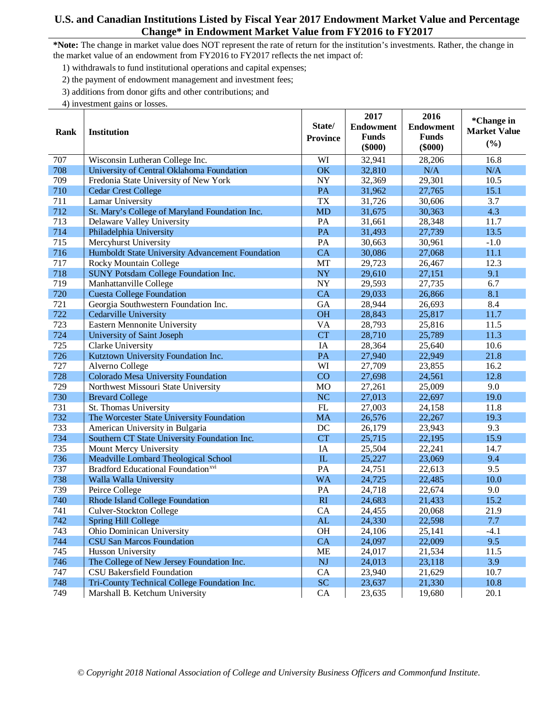## **U.S. and Canadian Institutions Listed by Fiscal Year 2017 Endowment Market Value and Percentage Change\* in Endowment Market Value from FY2016 to FY2017**

**\*Note:** The change in market value does NOT represent the rate of return for the institution's investments. Rather, the change in the market value of an endowment from FY2016 to FY2017 reflects the net impact of:

1) withdrawals to fund institutional operations and capital expenses;

2) the payment of endowment management and investment fees;

3) additions from donor gifts and other contributions; and

| Rank | <b>Institution</b>                               | State/          | 2017<br><b>Endowment</b>  | 2016<br><b>Endowment</b>  | *Change in<br><b>Market Value</b> |
|------|--------------------------------------------------|-----------------|---------------------------|---------------------------|-----------------------------------|
|      |                                                  | <b>Province</b> | <b>Funds</b><br>$(\$000)$ | <b>Funds</b><br>$(\$000)$ | (%)                               |
| 707  | Wisconsin Lutheran College Inc.                  | WI              | 32,941                    | 28,206                    | 16.8                              |
| 708  | University of Central Oklahoma Foundation        | OK              | 32,810                    | N/A                       | N/A                               |
| 709  | Fredonia State University of New York            | <b>NY</b>       | 32,369                    | 29,301                    | 10.5                              |
| 710  | <b>Cedar Crest College</b>                       | PA              | 31,962                    | 27,765                    | 15.1                              |
| 711  | <b>Lamar University</b>                          | <b>TX</b>       | 31,726                    | 30,606                    | 3.7                               |
| 712  | St. Mary's College of Maryland Foundation Inc.   | <b>MD</b>       | 31,675                    | 30,363                    | 4.3                               |
| 713  | Delaware Valley University                       | PA              | 31,661                    | 28,348                    | 11.7                              |
| 714  | Philadelphia University                          | PA              | 31,493                    | 27,739                    | 13.5                              |
| 715  | Mercyhurst University                            | PA              | 30,663                    | 30,961                    | $-1.0$                            |
| 716  | Humboldt State University Advancement Foundation | CA              | 30,086                    | 27,068                    | 11.1                              |
| 717  | Rocky Mountain College                           | MT              | 29,723                    | 26,467                    | 12.3                              |
| 718  | <b>SUNY Potsdam College Foundation Inc.</b>      | <b>NY</b>       | 29,610                    | 27,151                    | 9.1                               |
| 719  | Manhattanville College                           | <b>NY</b>       | 29,593                    | 27,735                    | 6.7                               |
| 720  | <b>Cuesta College Foundation</b>                 | <b>CA</b>       | 29,033                    | 26,866                    | 8.1                               |
| 721  | Georgia Southwestern Foundation Inc.             | GA              | 28,944                    | 26,693                    | 8.4                               |
| 722  | Cedarville University                            | <b>OH</b>       | 28,843                    | 25,817                    | 11.7                              |
| 723  | Eastern Mennonite University                     | <b>VA</b>       | 28,793                    | 25,816                    | 11.5                              |
| 724  | University of Saint Joseph                       | <b>CT</b>       | 28,710                    | 25,789                    | 11.3                              |
| 725  | Clarke University                                | IA              | 28,364                    | 25,640                    | 10.6                              |
| 726  | Kutztown University Foundation Inc.              | PA              | 27,940                    | 22,949                    | 21.8                              |
| 727  | Alverno College                                  | WI              | 27,709                    | 23,855                    | 16.2                              |
| 728  | Colorado Mesa University Foundation              | CO              | 27,698                    | 24,561                    | 12.8                              |
| 729  | Northwest Missouri State University              | <b>MO</b>       | 27,261                    | 25,009                    | 9.0                               |
| 730  | <b>Brevard College</b>                           | <b>NC</b>       | 27,013                    | 22,697                    | 19.0                              |
| 731  | St. Thomas University                            | FL              | 27,003                    | 24,158                    | 11.8                              |
| 732  | The Worcester State University Foundation        | <b>MA</b>       | 26,576                    | 22,267                    | 19.3                              |
| 733  | American University in Bulgaria                  | DC              | 26,179                    | 23,943                    | 9.3                               |
| 734  | Southern CT State University Foundation Inc.     | <b>CT</b>       | 25,715                    | 22,195                    | 15.9                              |
| 735  | Mount Mercy University                           | IA              | 25,504                    | 22,241                    | 14.7                              |
| 736  | Meadville Lombard Theological School             | IL              | 25,227                    | 23,069                    | 9.4                               |
| 737  | Bradford Educational Foundation <sup>xvi</sup>   | PA              | 24,751                    | 22,613                    | 9.5                               |
| 738  | Walla Walla University                           | <b>WA</b>       | 24,725                    | 22,485                    | 10.0                              |
| 739  | Peirce College                                   | PA              | 24,718                    | 22,674                    | 9.0                               |
| 740  | Rhode Island College Foundation                  | RI              | 24,683                    | 21,433                    | 15.2                              |
| 741  | Culver-Stockton College                          | CA              | 24,455                    | 20,068                    | 21.9                              |
| 742  | Spring Hill College                              | AL              | 24,330                    | 22,598                    | 7.7                               |
| 743  | Ohio Dominican University                        | OH              | 24,106                    | 25,141                    | $-4.1$                            |
| 744  | <b>CSU San Marcos Foundation</b>                 | CA              | 24,097                    | 22,009                    | 9.5                               |
| 745  | Husson University                                | <b>ME</b>       | 24,017                    | 21,534                    | 11.5                              |
| 746  | The College of New Jersey Foundation Inc.        | NJ              | 24,013                    | 23,118                    | 3.9                               |
| 747  | <b>CSU Bakersfield Foundation</b>                | CA              | 23,940                    | 21,629                    | 10.7                              |
| 748  | Tri-County Technical College Foundation Inc.     | <b>SC</b>       | 23,637                    | 21,330                    | 10.8                              |
| 749  | Marshall B. Ketchum University                   | CA              | 23,635                    | 19,680                    | 20.1                              |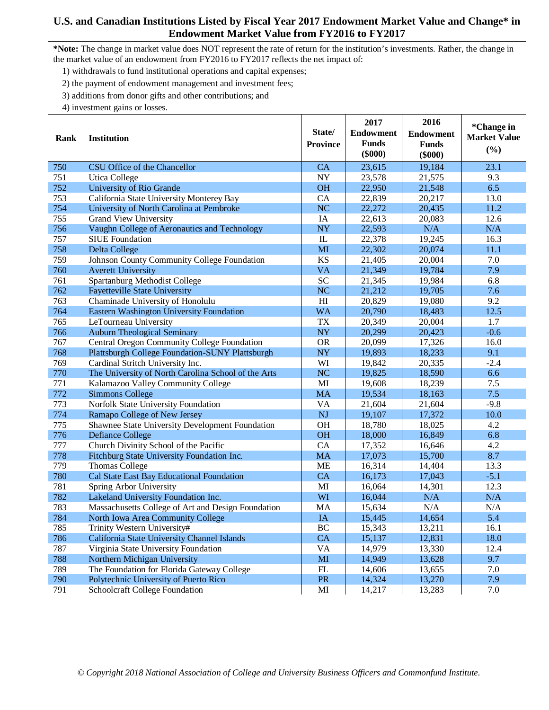#### **U.S. and Canadian Institutions Listed by Fiscal Year 2017 Endowment Market Value and Change\* in Endowment Market Value from FY2016 to FY2017**

**\*Note:** The change in market value does NOT represent the rate of return for the institution's investments. Rather, the change in the market value of an endowment from FY2016 to FY2017 reflects the net impact of:

1) withdrawals to fund institutional operations and capital expenses;

2) the payment of endowment management and investment fees;

3) additions from donor gifts and other contributions; and

|      |                                                        |                          | 2017                             | 2016                      | *Change in          |
|------|--------------------------------------------------------|--------------------------|----------------------------------|---------------------------|---------------------|
| Rank | <b>Institution</b>                                     | State/                   | <b>Endowment</b><br><b>Funds</b> | <b>Endowment</b>          | <b>Market Value</b> |
|      |                                                        | <b>Province</b>          | $(\$000)$                        | <b>Funds</b><br>$(\$000)$ | (%)                 |
| 750  | CSU Office of the Chancellor                           | CA                       | 23,615                           | 19,184                    | 23.1                |
| 751  | <b>Utica College</b>                                   | $\ensuremath{\text{NY}}$ | 23,578                           | 21,575                    | 9.3                 |
| 752  | University of Rio Grande                               | <b>OH</b>                | 22,950                           | 21,548                    | 6.5                 |
| 753  | California State University Monterey Bay               | CA                       | 22,839                           | 20,217                    | 13.0                |
| 754  | University of North Carolina at Pembroke               | <b>NC</b>                | 22,272                           | 20,435                    | 11.2                |
| 755  | <b>Grand View University</b>                           | IA                       | 22,613                           | 20,083                    | 12.6                |
| 756  | Vaughn College of Aeronautics and Technology           | <b>NY</b>                | 22,593                           | N/A                       | N/A                 |
| 757  | <b>SIUE</b> Foundation                                 | $\mathbf{I}$             | 22,378                           | 19,245                    | 16.3                |
| 758  | Delta College                                          | MI                       | 22,302                           | 20,074                    | 11.1                |
| 759  | Johnson County Community College Foundation            | <b>KS</b>                | 21,405                           | 20,004                    | 7.0                 |
| 760  | <b>Averett University</b>                              | <b>VA</b>                | 21,349                           | 19,784                    | 7.9                 |
| 761  | Spartanburg Methodist College                          | <b>SC</b>                | 21,345                           | 19,984                    | 6.8                 |
| 762  | <b>Fayetteville State University</b>                   | <b>NC</b>                | 21,212                           | 19,705                    | 7.6                 |
| 763  | Chaminade University of Honolulu                       | H <sub>I</sub>           | 20,829                           | 19,080                    | 9.2                 |
| 764  | Eastern Washington University Foundation               | <b>WA</b>                | 20,790                           | 18,483                    | 12.5                |
| 765  | LeTourneau University                                  | <b>TX</b>                | 20,349                           | 20,004                    | 1.7                 |
| 766  | <b>Auburn Theological Seminary</b>                     | <b>NY</b>                | 20,299                           | 20,423                    | $-0.6$              |
| 767  | Central Oregon Community College Foundation            | <b>OR</b>                | 20,099                           | 17,326                    | 16.0                |
| 768  | <b>Plattsburgh College Foundation-SUNY Plattsburgh</b> | <b>NY</b>                | 19,893                           | 18,233                    | 9.1                 |
| 769  | Cardinal Stritch University Inc.                       | WI                       | 19,842                           | 20,335                    | $-2.4$              |
| 770  | The University of North Carolina School of the Arts    | <b>NC</b>                | 19,825                           | 18,590                    | 6.6                 |
| 771  | Kalamazoo Valley Community College                     | MI                       | 19,608                           | 18,239                    | 7.5                 |
| 772  | <b>Simmons College</b>                                 | <b>MA</b>                | 19,534                           | 18,163                    | 7.5                 |
| 773  | Norfolk State University Foundation                    | VA                       | 21,604                           | 21,604                    | $-9.8$              |
| 774  | Ramapo College of New Jersey                           | NJ                       | 19,107                           | 17,372                    | 10.0                |
| 775  | Shawnee State University Development Foundation        | <b>OH</b>                | 18,780                           | 18,025                    | 4.2                 |
| 776  | <b>Defiance College</b>                                | <b>OH</b>                | 18,000                           | 16,849                    | 6.8                 |
| 777  | Church Divinity School of the Pacific                  | CA                       | 17,352                           | 16,646                    | 4.2                 |
| 778  | Fitchburg State University Foundation Inc.             | <b>MA</b>                | 17,073                           | 15,700                    | 8.7                 |
| 779  | <b>Thomas College</b>                                  | <b>ME</b>                | 16,314                           | 14,404                    | 13.3                |
| 780  | Cal State East Bay Educational Foundation              | CA                       | 16,173                           | 17,043                    | $-5.1$              |
| 781  | Spring Arbor University                                | MI                       | 16,064                           | 14,301                    | 12.3                |
| 782  | Lakeland University Foundation Inc.                    | WI                       | 16,044                           | N/A                       | N/A                 |
| 783  | Massachusetts College of Art and Design Foundation     | <b>MA</b>                | 15,634                           | N/A                       | N/A                 |
| 784  | North Iowa Area Community College                      | IA                       | 15,445                           | 14,654                    | 5.4                 |
| 785  | Trinity Western University#                            | BC                       | 15,343                           | 13,211                    | 16.1                |
| 786  | California State University Channel Islands            | CA                       | 15,137                           | 12,831                    | 18.0                |
| 787  | Virginia State University Foundation                   | <b>VA</b>                | 14,979                           | 13,330                    | 12.4                |
| 788  | Northern Michigan University                           | $\mathbf{M}\mathbf{I}$   | 14,949                           | 13,628                    | 9.7                 |
| 789  | The Foundation for Florida Gateway College             | FL                       | 14,606                           | 13,655                    | 7.0                 |
| 790  | Polytechnic University of Puerto Rico                  | PR                       | 14,324                           | 13,270                    | 7.9                 |
| 791  | Schoolcraft College Foundation                         | $\mathbf{M}\mathbf{I}$   | 14,217                           | 13,283                    | 7.0                 |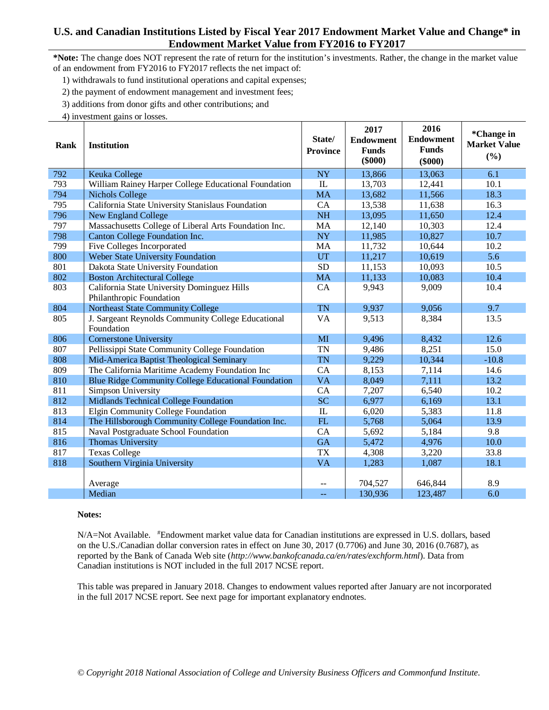## **U.S. and Canadian Institutions Listed by Fiscal Year 2017 Endowment Market Value and Change\* in Endowment Market Value from FY2016 to FY2017**

**\*Note:** The change does NOT represent the rate of return for the institution's investments. Rather, the change in the market value of an endowment from FY2016 to FY2017 reflects the net impact of:

1) withdrawals to fund institutional operations and capital expenses;

2) the payment of endowment management and investment fees;

3) additions from donor gifts and other contributions; and

4) investment gains or losses.

| Rank | <b>Institution</b>                                         | State/<br><b>Province</b> | 2017<br><b>Endowment</b><br><b>Funds</b><br>$(\$000)$ | 2016<br><b>Endowment</b><br><b>Funds</b><br>$(\$000)$ | *Change in<br><b>Market Value</b><br>(%) |
|------|------------------------------------------------------------|---------------------------|-------------------------------------------------------|-------------------------------------------------------|------------------------------------------|
| 792  | Keuka College                                              | <b>NY</b>                 | 13,866                                                | 13,063                                                | 6.1                                      |
| 793  | William Rainey Harper College Educational Foundation       | IL                        | 13,703                                                | 12,441                                                | 10.1                                     |
| 794  | <b>Nichols College</b>                                     | <b>MA</b>                 | 13,682                                                | 11,566                                                | 18.3                                     |
| 795  | California State University Stanislaus Foundation          | CA                        | 13,538                                                | 11,638                                                | 16.3                                     |
| 796  | New England College                                        | <b>NH</b>                 | 13,095                                                | 11,650                                                | 12.4                                     |
| 797  | Massachusetts College of Liberal Arts Foundation Inc.      | MA                        | 12,140                                                | 10,303                                                | 12.4                                     |
| 798  | Canton College Foundation Inc.                             | <b>NY</b>                 | 11,985                                                | 10,827                                                | 10.7                                     |
| 799  | Five Colleges Incorporated                                 | MA                        | 11,732                                                | 10,644                                                | 10.2                                     |
| 800  | Weber State University Foundation                          | UT                        | 11,217                                                | 10,619                                                | 5.6                                      |
| 801  | Dakota State University Foundation                         | <b>SD</b>                 | 11,153                                                | 10,093                                                | 10.5                                     |
| 802  | <b>Boston Architectural College</b>                        | <b>MA</b>                 | 11,133                                                | 10,083                                                | 10.4                                     |
| 803  | California State University Dominguez Hills                | CA                        | 9,943                                                 | 9,009                                                 | 10.4                                     |
|      | Philanthropic Foundation                                   |                           |                                                       |                                                       |                                          |
| 804  | Northeast State Community College                          | <b>TN</b>                 | 9,937                                                 | 9,056                                                 | 9.7                                      |
| 805  | J. Sargeant Reynolds Community College Educational         | VA                        | 9,513                                                 | 8,384                                                 | 13.5                                     |
|      | Foundation                                                 |                           |                                                       |                                                       |                                          |
| 806  | <b>Cornerstone University</b>                              | MI                        | 9,496                                                 | 8,432                                                 | 12.6                                     |
| 807  | Pellissippi State Community College Foundation             | <b>TN</b>                 | 9,486                                                 | 8,251                                                 | 15.0                                     |
| 808  | Mid-America Baptist Theological Seminary                   | <b>TN</b>                 | 9,229                                                 | 10,344                                                | $-10.8$                                  |
| 809  | The California Maritime Academy Foundation Inc             | CA                        | 8,153                                                 | 7,114                                                 | 14.6                                     |
| 810  | <b>Blue Ridge Community College Educational Foundation</b> | <b>VA</b>                 | 8,049                                                 | 7,111                                                 | 13.2                                     |
| 811  | Simpson University                                         | CA                        | 7,207                                                 | 6,540                                                 | 10.2                                     |
| 812  | Midlands Technical College Foundation                      | <b>SC</b>                 | 6,977                                                 | 6,169                                                 | 13.1                                     |
| 813  | Elgin Community College Foundation                         | ${\rm IL}$                | 6,020                                                 | 5,383                                                 | 11.8                                     |
| 814  | The Hillsborough Community College Foundation Inc.         | FL                        | 5,768                                                 | 5,064                                                 | 13.9                                     |
| 815  | Naval Postgraduate School Foundation                       | CA                        | 5,692                                                 | 5,184                                                 | 9.8                                      |
| 816  | <b>Thomas University</b>                                   | <b>GA</b>                 | 5,472                                                 | 4,976                                                 | 10.0                                     |
| 817  | <b>Texas College</b>                                       | <b>TX</b>                 | 4,308                                                 | 3,220                                                 | 33.8                                     |
| 818  | Southern Virginia University                               | <b>VA</b>                 | 1,283                                                 | 1,087                                                 | 18.1                                     |
|      |                                                            |                           |                                                       |                                                       |                                          |
|      | Average                                                    |                           | 704,527                                               | 646,844                                               | 8.9                                      |
|      | Median                                                     | цц.                       | 130,936                                               | 123,487                                               | 6.0                                      |

#### **Notes:**

N/A=Not Available. # Endowment market value data for Canadian institutions are expressed in U.S. dollars, based on the U.S./Canadian dollar conversion rates in effect on June 30, 2017 (0.7706) and June 30, 2016 (0.7687), as reported by the Bank of Canada Web site (*http://www.bankofcanada.ca/en/rates/exchform.html*). Data from Canadian institutions is NOT included in the full 2017 NCSE report.

This table was prepared in January 2018. Changes to endowment values reported after January are not incorporated in the full 2017 NCSE report. See next page for important explanatory endnotes.